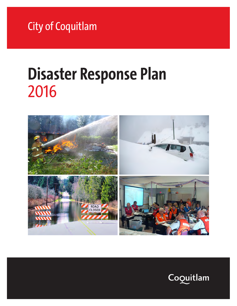City of Coquitlam

# **Disaster Response Plan**  2016



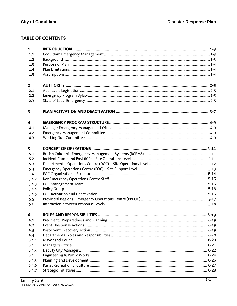### **TABLE OF CONTENTS**

| $\mathbf{1}$ |  |
|--------------|--|
| 1.1          |  |
| 1.2          |  |
| 1.3          |  |
| 1.4          |  |
| 1.5          |  |
| $\mathbf{2}$ |  |
| 2.1          |  |
| 2.2          |  |
| 2.3          |  |
| 3            |  |
| 4            |  |
| 4.1          |  |
| 4.2          |  |
| 4.3          |  |
| 5            |  |
| 5.1          |  |
| 5.2          |  |
| 5.3          |  |
| 5.4          |  |
| 5.4.1        |  |
| 5.4.2        |  |
| 5.4.3        |  |
| 5.4.4        |  |
| 5.4.5        |  |
| 5.5          |  |
| 5.6          |  |
| 6            |  |
| 6.1          |  |
| 6.2          |  |
| 6.3          |  |
| 6.4          |  |
| 6.4.1        |  |
| 6.4.2        |  |
| 6.4.3        |  |
| 6.4.4        |  |
| 6.4.5        |  |
| 6.4.6        |  |
| 6.4.7        |  |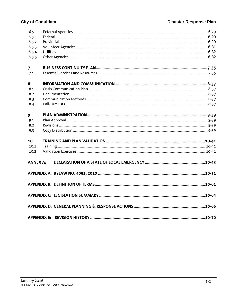## **City of Coquitlam**

| 6.5             |  |
|-----------------|--|
| 6.5.1           |  |
| 6.5.2           |  |
| 6.5.3           |  |
| 6.5.4           |  |
| 6.5.5           |  |
|                 |  |
| $\overline{7}$  |  |
| 7.1             |  |
|                 |  |
| 8               |  |
| 8.1             |  |
| 8.2             |  |
| 8.3             |  |
| 8.4             |  |
|                 |  |
| 9               |  |
| 9.1             |  |
| 9.2             |  |
| 9.3             |  |
|                 |  |
| 10              |  |
| 10.1            |  |
| 10.2            |  |
|                 |  |
| <b>ANNEX A:</b> |  |
|                 |  |
|                 |  |
|                 |  |
|                 |  |
|                 |  |
|                 |  |
|                 |  |
|                 |  |
|                 |  |
|                 |  |
|                 |  |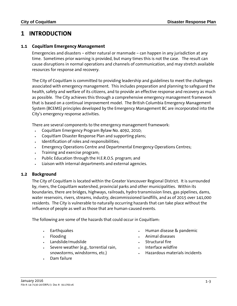# **1 INTRODUCTION**

#### **1.1 Coquitlam Emergency Management**

Emergencies and disasters – either natural or manmade – can happen in any jurisdiction at any time. Sometimes prior warning is provided, but many times this is not the case. The result can cause disruptions in normal operations and channels of communication, and may stretch available resources for response and recovery.

The City of Coquitlam is committed to providing leadership and guidelines to meet the challenges associated with emergency management. This includes preparation and planning to safeguard the health, safety and welfare of its citizens, and to provide an effective response and recovery as much as possible. The City achieves this through a comprehensive emergency management framework that is based on a continual improvement model. The British Columbia Emergency Management System (BCEMS) principles developed by the Emergency Management BC are incorporated into the City's emergency response activities.

There are several components to the emergency management framework:

- Coquitlam Emergency Program Bylaw No. 4092, 2010;
- Coquitlam Disaster Response Plan and supporting plans;
- Identification of roles and responsibilities;
- Emergency Operations Centre and Departmental Emergency Operations Centres;
- Training and exercise program;
- Public Education through the H.E.R.O.S. program; and
- Liaison with internal departments and external agencies.

#### **1.2 Background**

The City of Coquitlam is located within the Greater Vancouver Regional District. It is surrounded by, rivers, the Coquitlam watershed, provincial parks and other municipalities. Within its boundaries, there are bridges, highways, railroads, hydro transmission lines, gas pipelines, dams, water reservoirs, rivers, streams, industry, decommissioned landfills, and as of 2015 over 141,000 residents. The City is vulnerable to naturally occurring hazards that can take place without the influence of people as well as those that are human-caused events.

The following are some of the hazards that could occur in Coquitlam:

- Earthquakes
- Flooding
- Landslide/mudslide
- Severe weather (e.g., torrential rain, snowstorms, windstorms, etc.)
- Dam failure
- Human disease & pandemic
- Animal diseases
- Structural fire
- Interface wildfire
- Hazardous materials incidents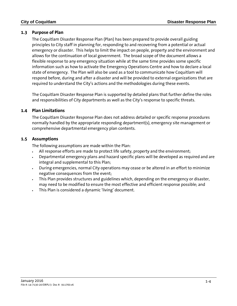#### **1.3 Purpose of Plan**

The Coquitlam Disaster Response Plan (Plan) has been prepared to provide overall guiding principles to City staff in planning for, responding to and recovering from a potential or actual emergency or disaster. This helps to limit the impact on people, property and the environment and allows for the continuation of local government. The broad scope of the document allows a flexible response to any emergency situation while at the same time provides some specific information such as how to activate the Emergency Operations Centre and how to declare a local state of emergency. The Plan will also be used as a tool to communicate how Coquitlam will respond before, during and after a disaster and will be provided to external organizations that are required to understand the City's actions and the methodologies during these events.

The Coquitlam Disaster Response Plan is supported by detailed plans that further define the roles and responsibilities of City departments as well as the City's response to specific threats.

#### **1.4 Plan Limitations**

The Coquitlam Disaster Response Plan does not address detailed or specific response procedures normally handled by the appropriate responding department(s), emergency site management or comprehensive departmental emergency plan contents.

#### **1.5 Assumptions**

The following assumptions are made within the Plan:

- All response efforts are made to protect life safety, property and the environment;
- Departmental emergency plans and hazard specific plans will be developed as required and are integral and supplemental to this Plan;
- During emergencies, normal City operations may cease or be altered in an effort to minimize negative consequences from the event;
- This Plan provides structures and guidelines which, depending on the emergency or disaster, may need to be modified to ensure the most effective and efficient response possible; and
- This Plan is considered a dynamic 'living' document.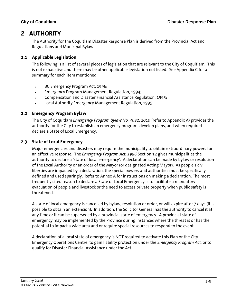# **2 AUTHORITY**

The Authority for the Coquitlam Disaster Response Plan is derived from the Provincial Act and Regulations and Municipal Bylaw.

#### **2.1 Applicable Legislation**

The following is a list of several pieces of legislation that are relevant to the City of Coquitlam. This is not exhaustive and there may be other applicable legislation not listed. See Appendix C for a summary for each item mentioned.

- BC Emergency Program Act, 1996;
- Emergency Program Management Regulation, 1994;
- Compensation and Disaster Financial Assistance Regulation, 1995;
- Local Authority Emergency Management Regulation, 1995.

#### **2.2 Emergency Program Bylaw**

The City of Coquitlam *Emergency Program Bylaw No. 4092, 2010* (refer to Appendix A) provides the authority for the City to establish an emergency program, develop plans, and when required declare a State of Local Emergency.

#### **2.3 State of Local Emergency**

Major emergencies and disasters may require the municipality to obtain extraordinary powers for an effective response. The *Emergency Program Act, 1996* Section 12 gives municipalities the authority to declare a 'state of local emergency'. A declaration can be made by bylaw or resolution of the Local Authority or an order of the Mayor (or designated Acting Mayor). As people's civil liberties are impacted by a declaration, the special powers and authorities must be specifically defined and used sparingly. Refer to Annex A for instructions on making a declaration. The most frequently cited reason to declare a State of Local Emergency is to facilitate a mandatory evacuation of people and livestock or the need to access private property when public safety is threatened.

A state of local emergency is cancelled by bylaw, resolution or order, or will expire after 7 days (it is possible to obtain an extension). In addition, the Solicitor General has the authority to cancel it at any time or it can be superseded by a provincial state of emergency. A provincial state of emergency may be implemented by the Province during instances where the threat is or has the potential to impact a wide area and or require special resources to respond to the event.

A declaration of a local state of emergency is NOT required to activate this Plan or the City Emergency Operations Centre, to gain liability protection under the *Emergency Program Act,* or to qualify for Disaster Financial Assistance under the Act.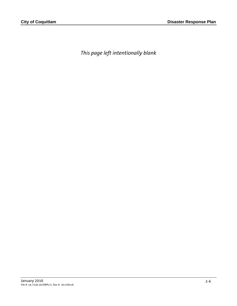*This page left intentionally blank*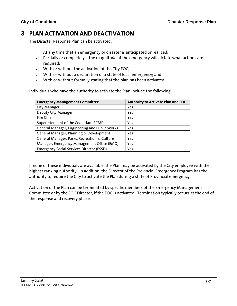# **3 PLAN ACTIVATION AND DEACTIVATION**

The Disaster Response Plan can be activated:

- At any time that an emergency or disaster is anticipated or realized;
- Partially or completely the magnitude of the emergency will dictate what actions are required;
- With or without the activation of the City EOC;
- With or without a declaration of a state of local emergency; and
- With or without formally stating that the plan has been activated.

Individuals who have the authority to activate the Plan include the following:

| <b>Emergency Management Committee</b>            | Authority to Activate Plan and EOC |
|--------------------------------------------------|------------------------------------|
| <b>City Manager</b>                              | Yes                                |
| Deputy City Manager                              | Yes                                |
| Fire Chief                                       | Yes                                |
| Superintendent of the Coquitlam RCMP             | Yes                                |
| General Manager, Engineering and Public Works    | Yes                                |
| General Manager, Planning & Development          | Yes                                |
| General Manager, Parks, Recreation & Culture     | Yes                                |
| Manager, Emergency Management Office (EMO)       | Yes                                |
| <b>Emergency Social Services Director (ESSD)</b> | Yes                                |

If none of these individuals are available, the Plan may be activated by the City employee with the highest ranking authority. In addition, the Director of the Provincial Emergency Program has the authority to require the City to activate the Plan during a state of Provincial emergency.

Activation of the Plan can be terminated by specific members of the Emergency Management Committee or by the EOC Director, if the EOC is activated. Termination typically occurs at the end of the response and recovery phase.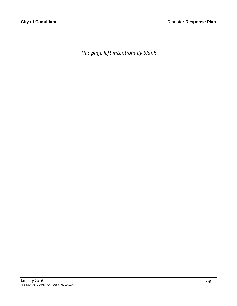*This page left intentionally blank*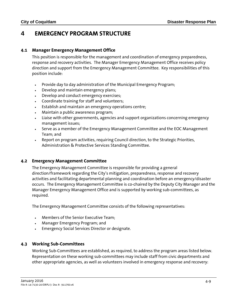# **4 EMERGENCY PROGRAM STRUCTURE**

#### **4.1 Manager Emergency Management Office**

This position is responsible for the management and coordination of emergency preparedness, response and recovery activities. The Manager Emergency Management Office receives policy direction and support from the Emergency Management Committee. Key responsibilities of this position include:

- Provide day to day administration of the Municipal Emergency Program;
- Develop and maintain emergency plans;
- Develop and conduct emergency exercises;
- Coordinate training for staff and volunteers;
- Establish and maintain an emergency operations centre;
- Maintain a public awareness program;
- Liaise with other governments, agencies and support organizations concerning emergency management issues;
- Serve as a member of the Emergency Management Committee and the EOC Management Team; and
- Report on program activities, requiring Council direction, to the Strategic Priorities, Administration & Protective Services Standing Committee.

#### **4.2 Emergency Management Committee**

The Emergency Management Committee is responsible for providing a general direction/framework regarding the City's mitigation, preparedness, response and recovery activities and facilitating departmental planning and coordination before an emergency/disaster occurs. The Emergency Management Committee is co-chaired by the Deputy City Manager and the Manager Emergency Management Office and is supported by working sub-committees, as required.

The Emergency Management Committee consists of the following representatives:

- Members of the Senior Executive Team;
- Manager Emergency Program; and
- Emergency Social Services Director or designate.

#### **4.3 Working Sub-Committees**

Working Sub-Committees are established, as required, to address the program areas listed below. Representation on these working sub-committees may include staff from civic departments and other appropriate agencies, as well as volunteers involved in emergency response and recovery: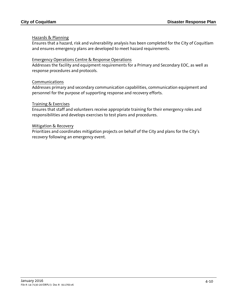#### Hazards & Planning

Ensures that a hazard, risk and vulnerability analysis has been completed for the City of Coquitlam and ensures emergency plans are developed to meet hazard requirements.

#### Emergency Operations Centre & Response Operations

Addresses the facility and equipment requirements for a Primary and Secondary EOC, as well as response procedures and protocols.

#### Communications

Addresses primary and secondary communication capabilities, communication equipment and personnel for the purpose of supporting response and recovery efforts.

#### Training & Exercises

Ensures that staff and volunteers receive appropriate training for their emergency roles and responsibilities and develops exercises to test plans and procedures.

#### Mitigation & Recovery

Prioritizes and coordinates mitigation projects on behalf of the City and plans for the City's recovery following an emergency event.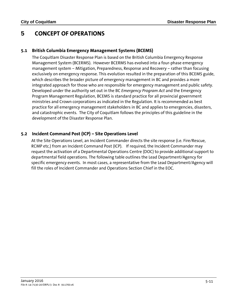# **5 CONCEPT OF OPERATIONS**

#### **5.1 British Columbia Emergency Management Systems (BCEMS)**

The Coquitlam Disaster Response Plan is based on the British Columbia Emergency Response Management System (BCERMS). However BCERMS has evolved into a four-phase emergency management system – Mitigation, Preparedness, Response and Recovery – rather than focusing exclusively on emergency response. This evolution resulted in the preparation of this BCEMS guide, which describes the broader picture of emergency management in BC and provides a more integrated approach for those who are responsible for emergency management and public safety. Developed under the authority set out in the BC *Emergency Program Act* and the Emergency Program Management Regulation, BCEMS is standard practice for all provincial government ministries and Crown corporations as indicated in the Regulation. It is recommended as best practice for all emergency management stakeholders in BC and applies to emergencies, disasters, and catastrophic events. The City of Coquitlam follows the principles of this guideline in the development of the Disaster Response Plan.

#### **5.2 Incident Command Post (ICP) – Site Operations Level**

At the Site Operations Level, an Incident Commander directs the site response (i.e. Fire/Rescue, RCMP etc.) from an Incident Command Post (ICP). If required, the Incident Commander may request the activation of a Departmental Operations Centre (DOC) to provide additional support to departmental field operations. The following table outlines the Lead Department/Agency for specific emergency events. In most cases, a representative from the Lead Department/Agency will fill the roles of Incident Commander and Operations Section Chief in the EOC.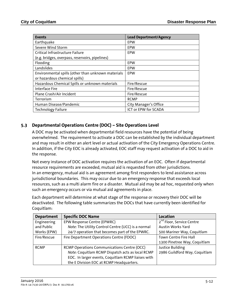| <b>Events</b>                                      | <b>Lead Department/Agency</b> |
|----------------------------------------------------|-------------------------------|
| Earthquake                                         | <b>EPW</b>                    |
| Severe Wind Storm                                  | EPW                           |
| Critical Infrastructure Failure                    | EPW                           |
| (e.g. bridges, overpass, reservoirs, pipelines)    |                               |
| Flooding                                           | <b>EPW</b>                    |
| Landslides                                         | <b>EPW</b>                    |
| Environmental spills (other than unknown materials | <b>EPW</b>                    |
| or hazardous chemical spills)                      |                               |
| Hazardous Chemical Spills or unknown materials     | Fire/Rescue                   |
| Interface Fire                                     | Fire/Rescue                   |
| Plane Crash/Air Incident                           | Fire/Rescue                   |
| Terrorism                                          | <b>RCMP</b>                   |
| Human Disease/Pandemic                             | City Manager's Office         |
| <b>Technology Failure</b>                          | ICT or EPW for SCADA          |

### **5.3 Departmental Operations Centre (DOC) – Site Operations Level**

A DOC may be activated when departmental field resources have the potential of being overwhelmed. The requirement to activate a DOC can be established by the individual department and may result in either an alert level or actual activation of the City Emergency Operations Centre. In addition, if the City EOC is already activated, EOC staff may request activation of a DOC to aid in the response.

Not every instance of DOC activation requires the activation of an EOC. Often if departmental resource requirements are exceeded, mutual aid is requested from other jurisdictions. In an emergency, mutual aid is an agreement among first responders to lend assistance across jurisdictional boundaries. This may occur due to an emergency response that exceeds local resources, such as a multi alarm fire or a disaster. Mutual aid may be ad hoc, requested only when such an emergency occurs or via mutual aid agreements in place.

Each department will determine at what stage of the response or recovery their DOC will be deactivated. The following table summarizes the DOCs that have currently been identified for Coquitlam:

| <b>Department</b> | <b>Specific DOC Name</b>                           | <b>Location</b>                       |
|-------------------|----------------------------------------------------|---------------------------------------|
| Engineering       | EPW Response Centre (EPWRC)                        | 2 <sup>nd</sup> Floor, Service Centre |
| and Public        | Note: The Utility Control Centre (UCC) is a normal | Austin Works Yard                     |
| Works (EPW)       | 24/7 operation that becomes part of the EPWRC.     | 500 Mariner Way, Coquitlam            |
| Fire/Rescue       | Fire Department Operations Centre (FDOC)           | Town Centre Fire Hall                 |
|                   |                                                    | 1300 Pinetree Way, Coquitlam          |
| <b>RCMP</b>       | RCMP Operations Communications Centre (OCC)        | Justice Building                      |
|                   | Note: Coquitlam RCMP Dispatch acts as local RCMP   | 2986 Guildford Way, Coquitlam         |
|                   | EOC. In larger events, Coquitlam RCMP liaises with |                                       |
|                   | the E Division EOC at RCMP Headquarters.           |                                       |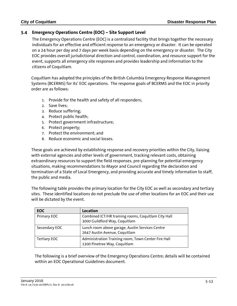#### **5.4 Emergency Operations Centre (EOC) – Site Support Level**

The Emergency Operations Centre (EOC) is a centralized facility that brings together the necessary individuals for an effective and efficient response to an emergency or disaster. It can be operated on a 24 hour per day and 7 days per week basis depending on the emergency or disaster. The City EOC provides overall jurisdictional direction and control, coordination, and resource support for the event, supports all emergency site responses and provides leadership and information to the citizens of Coquitlam.

Coquitlam has adopted the principles of the British Columbia Emergency Response Management Systems (BCERMS) for its' EOC operations. The response goals of BCERMS and the EOC in priority order are as follows:

- 1. Provide for the health and safety of all responders;
- 2. Save lives;
- 3. Reduce suffering;
- 4. Protect public health;
- 5. Protect government infrastructure;
- 6. Protect property;
- 7. Protect the environment; and
- 8. Reduce economic and social losses.

These goals are achieved by establishing response and recovery priorities within the City, liaising with external agencies and other levels of government, tracking relevant costs, obtaining extraordinary resources to support the field responses, pre-planning for potential emergency situations, making recommendations to Mayor and Council regarding the declaration and termination of a State of Local Emergency, and providing accurate and timely information to staff, the public and media.

The following table provides the primary location for the City EOC as well as secondary and tertiary sites. These identified locations do not preclude the use of other locations for an EOC and their use will be dictated by the event.

| <b>EOC</b>          | <b>Location</b>                                                                      |
|---------------------|--------------------------------------------------------------------------------------|
| Primary EOC         | Combined ICT/HR training rooms, Coquitlam City Hall<br>3000 Guildford Way, Coquitlam |
| Secondary EOC       | Lunch room above garage, Austin Services Centre<br>2647 Austin Avenue, Coquitlam     |
| <b>Tertiary EOC</b> | Administration Training room, Town Center Fire Hall<br>1300 Pinetree Way, Coquitlam  |

The following is a brief overview of the Emergency Operations Centre; details will be contained within an EOC Operational Guidelines document.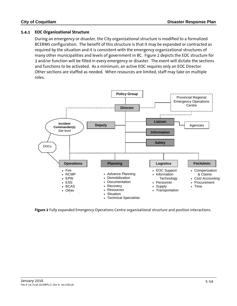#### **5.4.1 EOC Organizational Structure**

During an emergency or disaster, the City organizational structure is modified to a formalized BCERMS configuration. The benefit of this structure is that it may be expanded or contracted as required by the situation and it is consistent with the emergency organizational structures of many other municipalities and levels of government in BC. Figure 2 depicts the EOC structure for 3 and/or function will be filled in every emergency or disaster. The event will dictate the sections and functions to be activated. As a minimum, an active EOC requires only an EOC Director. Other sections are staffed as needed. When resources are limited, staff may take on multiple roles.



**Figure 2** Fully expanded Emergency Operations Centre organizational structure and position interactions.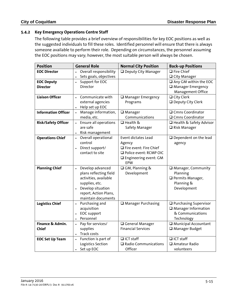#### **5.4.2 Key Emergency Operations Centre Staff**

The following table provides a brief overview of responsibilities for key EOC positions as well as the suggested individuals to fill these roles. Identified personnel will ensure that there is always someone available to perform their role. Depending on circumstances, the personnel assuming the EOC positions may vary; however, the most suitable person will always be chosen.

| <b>Position</b>            | <b>General Role</b>                         | <b>Normal City Position</b>         | <b>Back-up Positions</b>     |
|----------------------------|---------------------------------------------|-------------------------------------|------------------------------|
| <b>EOC Director</b>        | Overall responsibility<br>$\bullet$         | □ Deputy City Manager               | $\Box$ Fire Chief            |
|                            | Sets goals, objectives<br>$\bullet$         |                                     | $\Box$ City Manager          |
| <b>EOC Deputy</b>          | Support for EOC<br>$\bullet$                |                                     | Any GM within the EOC        |
| <b>Director</b>            | Director                                    |                                     | □ Manager Emergency          |
|                            |                                             |                                     | Management Office            |
| <b>Liaison Officer</b>     | Communicate with<br>$\bullet$               | □ Manager Emergency                 | $\Box$ City Clerk            |
|                            | external agencies                           | Programs                            | □ Deputy City Clerk          |
|                            | Help set up EOC<br>$\bullet$                |                                     |                              |
| <b>Information Officer</b> | Manage information,<br>$\ddot{\phantom{0}}$ | $\Box$ Manager                      | □ Cmns Coordinator           |
|                            | media, etc.                                 | Communications                      | □ Cmns Coordinator           |
| <b>Risk/Safety Officer</b> | Ensure all operations<br>$\bullet$          | $\Box$ Health &                     | □ Health & Safety Advisor    |
|                            | are safe                                    | Safety Manager                      | $\Box$ Risk Manager          |
|                            | • Risk management                           |                                     |                              |
| <b>Operations Chief</b>    | Overall operational<br>$\bullet$            | Event dictates Lead                 | $\Box$ Dependent on the lead |
|                            | control                                     | Agency                              | agency                       |
|                            | • Direct support/                           | Fire event: Fire Chief              |                              |
|                            | contact to site                             | □ Police event: RCMP OIC            |                              |
|                            |                                             | $\Box$ Engineering event: GM<br>EPW |                              |
| <b>Planning Chief</b>      | Develop advanced<br>$\bullet$               | □ GM, Planning &                    | Manager, Community           |
|                            | plans reflecting field                      | Development                         | Planning                     |
|                            | activities, available                       |                                     | Permits Manager,             |
|                            | supplies, etc.                              |                                     | Planning &                   |
|                            | Develop situation<br>$\bullet$              |                                     | Development                  |
|                            | report, Action Plans,                       |                                     |                              |
|                            | maintain documents                          |                                     |                              |
| <b>Logistics Chief</b>     | Purchasing and<br>$\bullet$                 | □ Manager Purchasing                | $\Box$ Purchasing Supervisor |
|                            | acquisition                                 |                                     | □ Manager Information        |
|                            | <b>EOC</b> support<br>$\bullet$             |                                     | & Communications             |
|                            | Personnel                                   |                                     | Technology                   |
| Finance & Admin.           | Pay for services/<br>$\bullet$              | □ General Manager                   | Municipal Accountant         |
| <b>Chief</b>               | supplies                                    | <b>Financial Services</b>           | Manager Budget               |
|                            | Track costs<br>$\bullet$                    |                                     |                              |
| <b>EOC Set Up Team</b>     | Function is part of                         | $\Box$ ICT staff                    | $\Box$ ICT staff             |
|                            | Logistics Section                           | □ Radio Communications              | □ Amateur Radio              |
|                            | Set up EOC<br>$\bullet$                     | Officer                             | volunteers                   |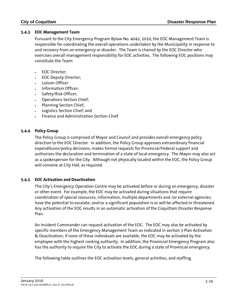#### **5.4.3 EOC Management Team**

Pursuant to the City Emergency Program Bylaw No. 4042, 2010, the EOC Management Team is responsible for coordinating the overall operations undertaken by the Municipality in response to and recovery from an emergency or disaster. The Team is chaired by the EOC Director who exercises overall management responsibility for EOC activities. The following EOC positions may constitute the Team:

- EOC Director;
- EOC Deputy Director;
- Liaison Officer
- Information Officer;
- Safety/Risk Officer;
- Operations Section Chief;
- Planning Section Chief;
- Logistics Section Chief; and
- Finance and Administration Section Chief

#### **5.4.4 Policy Group**

The Policy Group is comprised of Mayor and Council and provides overall emergency policy direction to the EOC Director. In addition, the Policy Group approves extraordinary financial expenditures/policy decisions, makes formal requests for Provincial/Federal support and authorizes the declaration and termination of a state of local emergency. The Mayor may also act as a spokesperson for the City. Although not physically located within the EOC, the Policy Group will convene at City Hall, as required.

#### **5.4.5 EOC Activation and Deactivation**

The City's Emergency Operation Centre may be activated before or during an emergency, disaster or other event. For example, the EOC may be activated during situations that require coordination of special resources, information, multiple departments and /or external agencies; have the potential to escalate; and/or a significant population is or will be affected or threatened. Any activation of the EOC results in an automatic activation of the Coquitlam Disaster Response Plan.

An Incident Commander can request activation of the EOC. The EOC may also be activated by specific members of the Emergency Management Team as indicated in section 3 Plan Activation & Deactivation; if none of these individuals are available, the EOC may be activated by the employee with the highest ranking authority. In addition, the Provincial Emergency Program also has the authority to require the City to activate the EOC during a state of Provincial emergency.

The following table outlines the EOC activation levels, general activities, and staffing.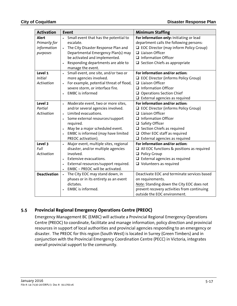| <b>Activation</b>   | Event                                            | <b>Minimum Staffing</b>                          |
|---------------------|--------------------------------------------------|--------------------------------------------------|
| <b>Alert</b>        | Small event that has the potential to            | For information only: Initiating or lead         |
| Primarily for       | escalate.                                        | department calls the following persons:          |
| information         | The City Disaster Response Plan and<br>$\bullet$ | $\Box$ EOC Director (may inform Policy Group)    |
| purposes            | Departmental Emergency Plan(s) may               | $\Box$ Liaison Officer                           |
|                     | be activated and implemented.                    | $\Box$ Information Officer                       |
|                     | Responding departments are able to               | $\Box$ Section Chiefs as appropriate             |
|                     | manage the event.                                |                                                  |
| Level 1             | Small event, one site, and/or two or             | For information and/or action:                   |
| <b>Initial</b>      | more agencies involved.                          | □ EOC Director (informs Policy Group)            |
| Activation          | For example, potential threat of flood,          | □ Liaison Officer                                |
|                     | severe storm, or interface fire.                 | $\Box$ Information Officer                       |
|                     | <b>EMBC</b> is informed                          | Operations Section Chief                         |
|                     |                                                  | $\Box$ External agencies as required             |
| Level 2             | Moderate event, two or more sites,               | For information and/or action:                   |
| Partial             | and/or several agencies involved.                | □ EOC Director (informs Policy Group)            |
| Activation          | Limited evacuations.<br>$\bullet$                | $\Box$ Liaison Officer                           |
|                     | Some external resources/support                  | $\Box$ Information Officer                       |
|                     | required.                                        | $\Box$ Safety Officer                            |
|                     | May be a major scheduled event.<br>$\bullet$     | $\Box$ Section Chiefs as required                |
|                     | EMBC is informed (may have limited               | $\Box$ Other EOC staff as required               |
|                     | PREOC activation).                               | $\Box$ External agencies as required             |
| Level 3             | Major event, multiple sites, regional            | For information and/or action:                   |
| Full                | disaster, and/or multiple agencies               | $\Box$ All EOC functions & positions as required |
| Activation          | involved.                                        | □ Policy Group                                   |
|                     | <b>Extensive evacuations.</b><br>$\bullet$       | $\Box$ External agencies as required             |
|                     | External resources/support required.             | $\Box$ Volunteers as required                    |
|                     | EMBC - PREOC will be activated.                  |                                                  |
| <b>Deactivation</b> | The City EOC may stand down, in<br>$\bullet$     | Deactivate EOC and terminate services based      |
|                     | phases or in its entirety as an event            | on requirements.                                 |
|                     | dictates.                                        | Note: Standing down the City EOC does not        |
|                     | <b>EMBC</b> is informed.                         | prevent recovery activities from continuing      |
|                     |                                                  | outside the EOC environment.                     |

#### **5.5 Provincial Regional Emergency Operations Centre (PREOC)**

Emergency Management BC (EMBC) will activate a Provincial Regional Emergency Operations Centre (PREOC) to coordinate, facilitate and manage information, policy direction and provincial resources in support of local authorities and provincial agencies responding to an emergency or disaster. The PREOC for this region (South West) is located in Surrey (Green Timbers) and in conjunction with the Provincial Emergency Coordination Centre (PECC) in Victoria, integrates overall provincial support to the community.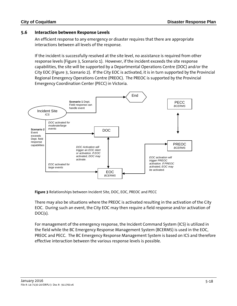#### **5.6 Interaction between Response Levels**

An efficient response to any emergency or disaster requires that there are appropriate interactions between all levels of the response.

If the incident is successfully resolved at the site level, no assistance is required from other response levels (Figure 3, Scenario 1). However, if the incident exceeds the site response capabilities, the site will be supported by a Departmental Operations Centre (DOC) and/or the City EOC (Figure 3, Scenario 2). If the City EOC is activated, it is in turn supported by the Provincial Regional Emergency Operations Centre (PREOC). The PREOC is supported by the Provincial Emergency Coordination Center (PECC) in Victoria.



**Figure 3** Relationships between Incident Site, DOC, EOC, PREOC and PECC

There may also be situations where the PREOC is activated resulting in the activation of the City EOC. During such an event, the City EOC may then require a field response and/or activation of DOC(s).

For management of the emergency response, the Incident Command System (ICS) is utilized in the field while the BC Emergency Response Management System (BCERMS) is used in the EOC, PREOC and PECC. The BC Emergency Response Management System is based on ICS and therefore effective interaction between the various response levels is possible.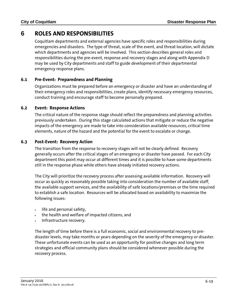# **6 ROLES AND RESPONSIBILITIES**

Coquitlam departments and external agencies have specific roles and responsibilities during emergencies and disasters. The type of threat, scale of the event, and threat location, will dictate which departments and agencies will be involved. This section describes general roles and responsibilities during the pre-event, response and recovery stages and along with Appendix D may be used by City departments and staff to guide development of their departmental emergency response plans.

#### **6.1 Pre-Event: Preparedness and Planning**

Organizations must be prepared before an emergency or disaster and have an understanding of their emergency roles and responsibilities, create plans, identify necessary emergency resources, conduct training and encourage staff to become personally prepared.

#### **6.2 Event: Response Actions**

The critical nature of the response stage should reflect the preparedness and planning activities previously undertaken. During this stage calculated actions that mitigate or reduce the negative impacts of the emergency are made to take into consideration available resources, critical time elements, nature of the hazard and the potential for the event to escalate or change.

### **6.3 Post-Event: Recovery Action**

The transition from the response to recovery stages will not be clearly defined. Recovery generally occurs after the critical stages of an emergency or disaster have passed. For each City department this point may occur at different times and it is possible to have some departments still in the response phase while others have already initiated recovery actions.

The City will prioritize the recovery process after assessing available information. Recovery will occur as quickly as reasonably possible taking into consideration the number of available staff, the available support services, and the availability of safe locations/premises or the time required to establish a safe location. Resources will be allocated based on availability to maximize the following issues:

- life and personal safety,
- the health and welfare of impacted citizens, and
- Infrastructure recovery.

The length of time before there is a full economic, social and environmental recovery to predisaster levels, may take months or years depending on the severity of the emergency or disaster. These unfortunate events can be used as an opportunity for positive changes and long term strategies and official community plans should be considered whenever possible during the recovery process.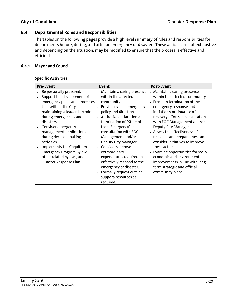#### **6.4 Departmental Roles and Responsibilities**

The tables on the following pages provide a high level summary of roles and responsibilities for departments before, during, and after an emergency or disaster. These actions are not exhaustive and depending on the situation, may be modified to ensure that the process is effective and efficient.

#### **6.4.1 Mayor and Council**

#### **Specific Activities**

| <b>Pre-Event</b>                                                                                                                                                                                                                                                                                                                                                                                                                 | Event                                                                                                                                                                                                                                                                                                                                                                                                                                                    | <b>Post-Event</b>                                                                                                                                                                                                                                                                                                                                                                                                                                                                                                       |
|----------------------------------------------------------------------------------------------------------------------------------------------------------------------------------------------------------------------------------------------------------------------------------------------------------------------------------------------------------------------------------------------------------------------------------|----------------------------------------------------------------------------------------------------------------------------------------------------------------------------------------------------------------------------------------------------------------------------------------------------------------------------------------------------------------------------------------------------------------------------------------------------------|-------------------------------------------------------------------------------------------------------------------------------------------------------------------------------------------------------------------------------------------------------------------------------------------------------------------------------------------------------------------------------------------------------------------------------------------------------------------------------------------------------------------------|
| Be personally prepared.<br>Support the development of<br>emergency plans and processes<br>that will aid the City in<br>maintaining a leadership role<br>during emergencies and<br>disasters.<br>Consider emergency<br>$\bullet$<br>management implications<br>during decision making<br>activities.<br>Implements the Coquitlam<br>$\bullet$<br>Emergency Program Bylaw,<br>other related bylaws, and<br>Disaster Response Plan. | Maintain a caring presence<br>within the affected<br>community.<br>Provide overall emergency<br>policy and direction.<br>Authorize declaration and<br>termination of "State of<br>Local Emergency" in<br>consultation with EOC<br>Management and/or<br>Deputy City Manager.<br>Consider/approve<br>extraordinary<br>expenditures required to<br>effectively respond to the<br>emergency or disaster.<br>Formally request outside<br>support/resources as | Maintain a caring presence<br>within the affected community.<br>Proclaim termination of the<br>emergency response and<br>initiation/continuance of<br>recovery efforts in consultation<br>with EOC Management and/or<br>Deputy City Manager.<br>Assess the effectiveness of<br>response and preparedness and<br>consider initiatives to improve<br>these actions.<br>Examine opportunities for socio<br>economic and environmental<br>improvements in line with long<br>term strategic and official<br>community plans. |
|                                                                                                                                                                                                                                                                                                                                                                                                                                  | required.                                                                                                                                                                                                                                                                                                                                                                                                                                                |                                                                                                                                                                                                                                                                                                                                                                                                                                                                                                                         |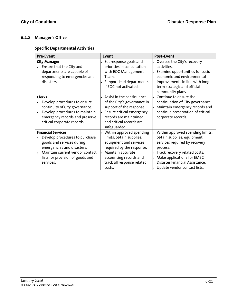### **6.4.2 Manager's Office**

| <b>Pre-Event</b>                                                                                                                                                                                           | Event                                                                                                                                                                                              | <b>Post-Event</b>                                                                                                                                                                                                                                   |
|------------------------------------------------------------------------------------------------------------------------------------------------------------------------------------------------------------|----------------------------------------------------------------------------------------------------------------------------------------------------------------------------------------------------|-----------------------------------------------------------------------------------------------------------------------------------------------------------------------------------------------------------------------------------------------------|
| <b>City Manager</b><br>Ensure that the City and<br>departments are capable of<br>responding to emergencies and<br>disasters.                                                                               | Set response goals and<br>priorities in consultation<br>with EOC Management<br>Team.<br>Support lead departments<br>if EOC not activated.                                                          | • Oversee the City's recovery<br>activities.<br>Examine opportunities for socio<br>$\bullet$<br>economic and environmental<br>improvements in line with long<br>term strategic and official<br>community plans.                                     |
| <b>Clerks</b><br>Develop procedures to ensure<br>continuity of City governance.<br>Develop procedures to maintain<br>emergency records and preserve<br>critical corporate records.                         | Assist in the continuance<br>of the City's governance in<br>support of the response.<br>Ensure critical emergency<br>records are maintained<br>and critical records are<br>safeguarded.            | • Continue to ensure the<br>continuation of City governance.<br>• Maintain emergency records and<br>continue preservation of critical<br>corporate records.                                                                                         |
| <b>Financial Services</b><br>Develop procedures to purchase<br>goods and services during<br>emergencies and disasters.<br>Maintain current vendor contact<br>lists for provision of goods and<br>services. | Within approved spending<br>limits, obtain supplies,<br>equipment and services<br>required by the response.<br>Maintain accurate<br>accounting records and<br>track all response related<br>costs. | • Within approved spending limits,<br>obtain supplies, equipment,<br>services required by recovery<br>process.<br>Track recovery related costs.<br>• Make applications for EMBC<br>Disaster Financial Assistance.<br>• Update vendor contact lists. |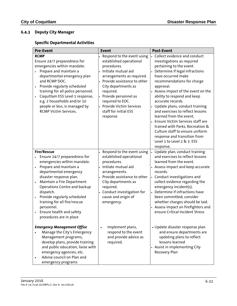#### **6.4.3 Deputy City Manager**

| <b>Pre-Event</b>                                                                                                                                                                                                                                                                                                                                                                | <b>Event</b>                                                                                                                                                                                                                                                                                                   | <b>Post-Event</b>                                                                                                                                                                                                                                                                                                                                                                                                                                                                                                                                                                 |
|---------------------------------------------------------------------------------------------------------------------------------------------------------------------------------------------------------------------------------------------------------------------------------------------------------------------------------------------------------------------------------|----------------------------------------------------------------------------------------------------------------------------------------------------------------------------------------------------------------------------------------------------------------------------------------------------------------|-----------------------------------------------------------------------------------------------------------------------------------------------------------------------------------------------------------------------------------------------------------------------------------------------------------------------------------------------------------------------------------------------------------------------------------------------------------------------------------------------------------------------------------------------------------------------------------|
| <b>RCMP</b><br>Ensure 24/7 preparedness for<br>emergencies within mandate.<br>Prepare and maintain a<br>departmental emergency plan<br>and RCMP DOC.<br>Provide regularly scheduled<br>training for all police personnel.<br>Coquitlam ESS Level 1 response,<br>$\bullet$<br>e.g. 2 households and/or 10<br>people or less, is managed by<br><b>RCMP Victim Services.</b>       | Respond to the event using<br>established operational<br>procedures.<br>Initiate mutual aid<br>arrangements as required.<br>Provide assistance to other<br>City departments as<br>required.<br>Provide personnel as<br>required to EOC.<br><b>Provide Victim Services</b><br>staff for initial ESS<br>response | • Collect evidence and conduct<br>investigations as required<br>pertaining to the event.<br>Determine if legal infractions<br>have occurred make<br>recommendations for charge<br>approval.<br>• Assess impact of the event on the<br>ability to respond and keep<br>accurate records.<br>• Update plans, conduct training<br>and exercises to reflect lessons<br>learned from the event.<br>• Ensure Victim Services staff are<br>trained with Parks, Recreation &<br>Culture staff to ensure uniform<br>response and transition from<br>Level 1 to Level 2 & 3 ESS<br>response. |
| <b>Fire/Rescue</b><br>Ensure 24/7 preparedness for<br>emergencies within mandate.<br>Prepare and maintain a<br>departmental emergency<br>disaster response plan.<br>Maintain a Fire Department<br>Operations Centre and backup<br>dispatch.<br>Provide regularly scheduled<br>training for all fire/rescue<br>personnel.<br>Ensure health and safety<br>procedures are in place | Respond to the event using<br>established operational<br>procedures.<br>Initiate mutual aid<br>arrangements.<br>Provide assistance to other<br>City departments as<br>required.<br>Conduct investigation for<br>cause and origin of<br>emergency.                                                              | • Update plan, conduct training<br>and exercises to reflect lessons<br>learned from the event.<br>• Assess impact and keep accurate<br>records.<br>• Conduct investigations and<br>collect evidence regarding the<br>emergency incident(s).<br>Determine if infractions have<br>been committed; consider<br>whether charges should be laid.<br>• Assess impact on firefighters and<br>ensure Critical Incident Stress                                                                                                                                                             |
| <b>Emergency Management Office</b><br>Manage the City's Emergency<br>Management programs,<br>develop plans, provide training<br>and public education, liaise with<br>emergency agencies, etc.<br>Advise council on Plan and<br>emergency programs                                                                                                                               | Implement plans,<br>$\bullet$<br>respond to the event<br>and provide advice as<br>required.                                                                                                                                                                                                                    | · Update disaster response plan<br>and ensure departments are<br>updating plans to reflect<br>lessons learned<br>• Assist in implementing City<br>Recovery Plan                                                                                                                                                                                                                                                                                                                                                                                                                   |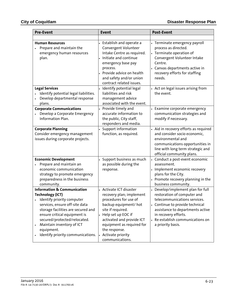| <b>Pre-Event</b>                                                                                                                                                                                                                                                                                                                                  | <b>Event</b>                                                                                                                                                                                                                                                          | <b>Post-Event</b>                                                                                                                                                                                                                                        |
|---------------------------------------------------------------------------------------------------------------------------------------------------------------------------------------------------------------------------------------------------------------------------------------------------------------------------------------------------|-----------------------------------------------------------------------------------------------------------------------------------------------------------------------------------------------------------------------------------------------------------------------|----------------------------------------------------------------------------------------------------------------------------------------------------------------------------------------------------------------------------------------------------------|
|                                                                                                                                                                                                                                                                                                                                                   |                                                                                                                                                                                                                                                                       |                                                                                                                                                                                                                                                          |
| <b>Human Resources</b><br>Prepare and maintain the<br>emergency human resources<br>plan.                                                                                                                                                                                                                                                          | Establish and operate a<br>Convergent Volunteer<br>Intake Centre as required.<br>Initiate and continue<br>emergency base pay<br>process.<br>Provide advice on health<br>and safety and/or union<br>contract related issues.                                           | • Terminate emergency payroll<br>process as directed.<br>• Terminate operation of<br>Convergent Volunteer Intake<br>Centre.<br>• Canvas departments active in<br>recovery efforts for staffing<br>needs.                                                 |
| <b>Legal Services</b><br>Identify potential legal liabilities.<br>Develop departmental response<br>plans.                                                                                                                                                                                                                                         | · Identify potential legal<br>liabilities and risk<br>management advice<br>associated with the event.                                                                                                                                                                 | • Act on legal issues arising from<br>the event.                                                                                                                                                                                                         |
| <b>Corporate Communications</b><br>Develop a Corporate Emergency<br>Information Plan.                                                                                                                                                                                                                                                             | Provide timely and<br>accurate information to<br>the public, City staff,<br>responders and media.                                                                                                                                                                     | • Examine corporate emergency<br>communication strategies and<br>modify if necessary.                                                                                                                                                                    |
| <b>Corporate Planning</b><br>Consider emergency management<br>issues during corporate projects.                                                                                                                                                                                                                                                   | Support information<br>function, as required.                                                                                                                                                                                                                         | • Aid in recovery efforts as required<br>and consider socio economic,<br>environmental and<br>communications opportunities in<br>line with long term strategic and<br>official community plans.                                                          |
| <b>Economic Development</b><br>Prepare and maintain an<br>economic communication<br>strategy to promote emergency<br>preparedness in the business<br>community.                                                                                                                                                                                   | Support business as much<br>as possible during the<br>response.                                                                                                                                                                                                       | • Conduct a post-event economic<br>assessment.<br>• Implement economic recovery<br>plans for the City.<br>• Promote recovery planning in the<br>business community.                                                                                      |
| <b>Information &amp; Communication</b><br><b>Technology (ICT)</b><br>Identify priority computer<br>services, ensure off-site data<br>storage facilities are secured and<br>ensure critical equipment is<br>secured/protected/relocated.<br>Maintain inventory of ICT<br>$\bullet$<br>equipment.<br>Identify priority communications.<br>$\bullet$ | • Activate ICT disaster<br>recovery plan; implement<br>procedures for use of<br>backup equipment/ hot<br>site if required.<br>• Help set up EOC if<br>activated and provide ICT<br>equipment as required for<br>the response.<br>Activate priority<br>communications. | • Develop/implement plan for full<br>restoration of computer and<br>telecommunications services.<br>• Continue to provide technical<br>assistance to departments active<br>in recovery efforts.<br>• Re-establish communications on<br>a priority basis. |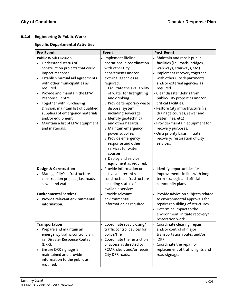#### **6.4.4 Engineering & Public Works**

| <b>Pre-Event</b>                                                                                                                                                                                                                                                                                                                                                                                    | <b>Event</b>                                                                                                                                                                                                                                                                                                                                                                                                                                                      | <b>Post-Event</b>                                                                                                                                                                                                                                                                                                                                                                                                                                                                                            |
|-----------------------------------------------------------------------------------------------------------------------------------------------------------------------------------------------------------------------------------------------------------------------------------------------------------------------------------------------------------------------------------------------------|-------------------------------------------------------------------------------------------------------------------------------------------------------------------------------------------------------------------------------------------------------------------------------------------------------------------------------------------------------------------------------------------------------------------------------------------------------------------|--------------------------------------------------------------------------------------------------------------------------------------------------------------------------------------------------------------------------------------------------------------------------------------------------------------------------------------------------------------------------------------------------------------------------------------------------------------------------------------------------------------|
| <b>Public Work Division</b>                                                                                                                                                                                                                                                                                                                                                                         | Implement lifeline                                                                                                                                                                                                                                                                                                                                                                                                                                                | • Maintain and repair public                                                                                                                                                                                                                                                                                                                                                                                                                                                                                 |
| Understand status of<br>construction projects that could<br>impact response.<br>Establish mutual aid agreements<br>with other municipalities as<br>required.<br>Provide and maintain the EPW<br>Response Centre.<br>Together with Purchasing<br>Division, maintain list of qualified<br>suppliers of emergency materials<br>and/or equipment.<br>Maintain a list of EPW equipment<br>and materials. | operations in coordination<br>with other City<br>departments and/or<br>external agencies as<br>required:<br>o Facilitate the availability<br>of water for firefighting<br>and drinking.<br>o Provide temporary waste<br>disposal system<br>including sewerage.<br>o Identify geotechnical<br>and other hazards.<br>o Maintain emergency<br>power supplies.<br>o Provide emergency<br>response and other<br>services for water<br>courses.<br>o Deploy and service | facilities (i.e., roads, bridges,<br>walkways, stairways, etc.)<br>• Implement recovery together<br>with other City departments<br>and/or external agencies as<br>required.<br>• Clear disaster debris from<br>public/City properties and/or<br>critical facilities.<br>• Restore City infrastructure (i.e.,<br>drainage courses, sewer and<br>water lines, etc.)<br>• Provide/maintain equipment for<br>recovery purposes.<br>• On a priority basis, initiate<br>recovery/ restoration of City<br>services. |
| <b>Design &amp; Construction</b><br>Manage City's infrastructure<br>construction projects, i.e., roads,<br>sewer and water                                                                                                                                                                                                                                                                          | equipment as required.<br>Provide information on<br>active and recently<br>constructed infrastructure<br>including status of<br>available services.                                                                                                                                                                                                                                                                                                               | · Identify opportunities for<br>improvements in line with long<br>term strategic and official<br>community plans.                                                                                                                                                                                                                                                                                                                                                                                            |
| <b>Environmental Services</b><br>Provide relevant environmental<br>information.                                                                                                                                                                                                                                                                                                                     | Provide relevant<br>environmental<br>information as required.                                                                                                                                                                                                                                                                                                                                                                                                     | • Provide advice on subjects related<br>to environmental approvals for<br>repair/rebuilding of structures.<br>• Determine impact to the<br>environment, initiate recovery/<br>restoration work.                                                                                                                                                                                                                                                                                                              |
| Transportation<br>Prepare and maintain an<br>emergency traffic control plan,<br>i.e. Disaster Response Routes<br>$(DRR)$ .<br>Ensure DRR signage is<br>maintained and provide<br>information to the public as<br>required.                                                                                                                                                                          | • Coordinate road closing/<br>traffic control devices for<br>police/fire.<br>Coordinate the restriction<br>of access as directed by<br>RCMP, clear, and/or repair<br>City DRR roads.                                                                                                                                                                                                                                                                              | • Coordinate clearing, repair,<br>and/or control of major<br>transportation routes and/or<br>DRR.<br>• Coordinate the repair or<br>replacement of traffic lights and<br>road signage.                                                                                                                                                                                                                                                                                                                        |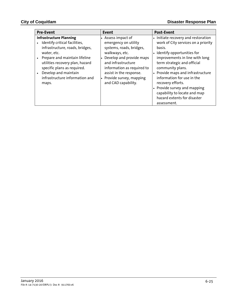| <b>Pre-Event</b>                                                                                                                                                                                                                                                                        | Event                                                                                                                                                                                                                                               | <b>Post-Event</b>                                                                                                                                                                                                                                                                                                                                                                                             |
|-----------------------------------------------------------------------------------------------------------------------------------------------------------------------------------------------------------------------------------------------------------------------------------------|-----------------------------------------------------------------------------------------------------------------------------------------------------------------------------------------------------------------------------------------------------|---------------------------------------------------------------------------------------------------------------------------------------------------------------------------------------------------------------------------------------------------------------------------------------------------------------------------------------------------------------------------------------------------------------|
| <b>Infrastructure Planning</b><br>Identify critical facilities,<br>infrastructure, roads, bridges,<br>water, etc.<br>Prepare and maintain lifeline<br>utilities recovery plan, hazard<br>specific plans as required.<br>Develop and maintain<br>infrastructure information and<br>maps. | Assess impact of<br>emergency on utility<br>systems, roads, bridges,<br>walkways, etc.<br>Develop and provide maps<br>and infrastructure<br>information as required to<br>assist in the response.<br>Provide survey, mapping<br>and CAD capability. | • Initiate recovery and restoration<br>work of City services on a priority<br>basis.<br>Identify opportunities for<br>improvements in line with long<br>term strategic and official<br>community plans.<br>• Provide maps and infrastructure<br>information for use in the<br>recovery efforts.<br>• Provide survey and mapping<br>capability to locate and map<br>hazard extents for disaster<br>assessment. |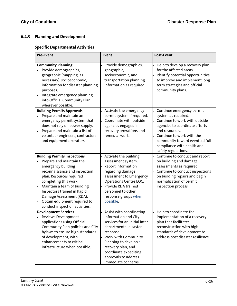#### **6.4.5 Planning and Development**

| <b>Pre-Event</b>                                                                                                                                                                                                                                                                                                                                     | <b>Event</b>                                                                                                                                                                                                                                                           | <b>Post-Event</b>                                                                                                                                                                                                                                               |
|------------------------------------------------------------------------------------------------------------------------------------------------------------------------------------------------------------------------------------------------------------------------------------------------------------------------------------------------------|------------------------------------------------------------------------------------------------------------------------------------------------------------------------------------------------------------------------------------------------------------------------|-----------------------------------------------------------------------------------------------------------------------------------------------------------------------------------------------------------------------------------------------------------------|
| <b>Community Planning</b><br>Provide demographics,<br>geographic (mapping, as<br>necessary), socioeconomic,<br>information for disaster planning<br>purposes.<br>Integrate emergency planning<br>into Official Community Plan<br>wherever possible.                                                                                                  | Provide demographics,<br>geographic,<br>socioeconomic, and<br>transportation planning<br>information as required.                                                                                                                                                      | • Help to develop a recovery plan<br>for the affected areas.<br>Identify potential opportunities<br>to improve and implement long<br>term strategies and official<br>community plans.                                                                           |
| <b>Building Permits Approvals</b><br>Prepare and maintain an<br>emergency permit system that<br>does not rely on power supply.<br>Prepare and maintain a list of<br>$\bullet$<br>volunteer engineers, contractors<br>and equipment operators.                                                                                                        | Activate the emergency<br>permit system if required.<br>Coordinate with outside<br>agencies engaged in<br>recovery operations and<br>remedial work.                                                                                                                    | • Continue emergency permit<br>system as required.<br>• Continue to work with outside<br>agencies to coordinate efforts<br>and resources.<br>• Continue to work with the<br>community toward eventual full<br>compliance with health and<br>safety regulations. |
| <b>Building Permits Inspections</b><br>Prepare and maintain the<br>emergency building<br>reconnaissance and inspection<br>plan. Resources required<br>completing this work.<br>Maintain a team of building<br>$\bullet$<br>Inspectors trained in Rapid<br>Damage Assessment (RDA).<br>Obtain equipment required to<br>conduct inspection activities. | Activate the building<br>assessment system.<br>Report information<br>regarding damage<br>assessment to Emergency<br>Operations Centre EOC.<br>Provide RDA trained<br>personnel to other<br>response groups when<br>possible.                                           | Continue to conduct and report<br>on building and damage<br>assessments as required.<br>Continue to conduct inspections<br>on building repairs and begin<br>normalization of permit<br>inspection process.                                                      |
| <b>Development Services</b><br>Reviews Development<br>applications using Official<br>Community Plan policies and City<br>bylaws to ensure high standards<br>of development, with<br>enhancements to critical<br>infrastructure when possible.                                                                                                        | Assist with coordinating<br>information and City<br>services for an initial inter-<br>departmental disaster<br>response.<br>Work with Community<br>Planning to develop a<br>recovery plan, and<br>coordinate expediting<br>approvals to address<br>immediate concerns. | Help to coordinate the<br>implementation of a recovery<br>plan that facilitates<br>reconstruction with high<br>standards of development to<br>address post disaster resilience.                                                                                 |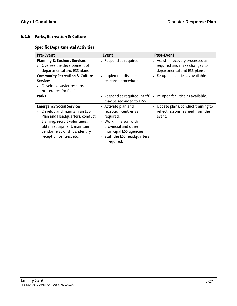#### **6.4.6 Parks, Recreation & Culture**

| <b>Pre-Event</b>                                                                                                                                                                                                              | Event                                                                                                                                                                           | <b>Post-Event</b>                                                                                |
|-------------------------------------------------------------------------------------------------------------------------------------------------------------------------------------------------------------------------------|---------------------------------------------------------------------------------------------------------------------------------------------------------------------------------|--------------------------------------------------------------------------------------------------|
| <b>Planning &amp; Business Services</b><br>Oversee the development of<br>departmental and ESS plans.                                                                                                                          | Respond as required.                                                                                                                                                            | • Assist in recovery processes as<br>required and make changes to<br>departmental and ESS plans. |
| <b>Community Recreation &amp; Culture</b><br><b>Services</b><br>Develop disaster response<br>procedures for facilities.                                                                                                       | Implement disaster<br>response procedures.                                                                                                                                      | • Re-open facilities as available.                                                               |
| <b>Parks</b>                                                                                                                                                                                                                  | Respond as required. Staff<br>may be seconded to EPW.                                                                                                                           | • Re-open facilities as available.                                                               |
| <b>Emergency Social Services</b><br>Develop and maintain an ESS<br>Plan and Headquarters, conduct<br>training, recruit volunteers,<br>obtain equipment, maintain<br>vendor relationships, identify<br>reception centres, etc. | Activate plan and<br>reception centres as<br>required.<br>Work in liaison with<br>provincial and other<br>municipal ESS agencies.<br>Staff the ESS headquarters<br>if required. | • Update plans, conduct training to<br>reflect lessons learned from the<br>event.                |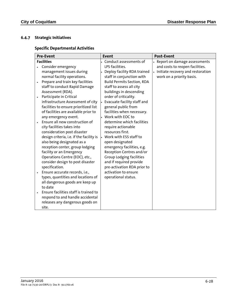### **6.4.7 Strategic Initiatives**

|           | <b>Pre-Event</b>                         | <b>Event</b>                      | <b>Post-Event</b>                   |
|-----------|------------------------------------------|-----------------------------------|-------------------------------------|
|           | <b>Facilities</b>                        | Conduct assessments of            | • Report on damage assessments      |
|           | Consider emergency                       | LPS facilities.                   | and costs to reopen facilities.     |
|           | management issues during                 | Deploy facility RDA trained       | • Initiate recovery and restoration |
|           | normal facility operations.              | staff in conjunction with         | work on a priority basis.           |
| $\bullet$ | Prepare and train key facilities         | <b>Build Permits Section, RDA</b> |                                     |
|           | staff to conduct Rapid Damage            | staff to assess all city          |                                     |
|           | Assessment (RDA).                        | buildings in descending           |                                     |
|           | Participate in Critical                  | order of criticality.             |                                     |
|           | infrastructure Assessment of city        | Evacuate facility staff and       |                                     |
|           | facilities to ensure prioritized list    | general public from               |                                     |
|           | of facilities are available prior to     | facilities when necessary.        |                                     |
|           | any emergency event.                     | Work with EOC to                  |                                     |
|           | Ensure all new construction of           | determine which facilities        |                                     |
|           | city facilities takes into               | require actionable                |                                     |
|           | consideration post disaster              | resources first.                  |                                     |
|           | design criteria, i.e. if the facility is | Work with ESS staff to            |                                     |
|           | also being designated as a               | open designated                   |                                     |
|           | reception center, group lodging          | emergency facilities, e.g.        |                                     |
|           | facility or an Emergency                 | Reception Centres and/or          |                                     |
|           | Operations Centre (EOC), etc.,           | Group Lodging facilities          |                                     |
|           | consider design to post disaster         | and if required provide           |                                     |
|           | specification.                           | pre-activation RDA prior to       |                                     |
|           | Ensure accurate records, i.e.,           | activation to ensure              |                                     |
|           | types, quantities and locations of       | operational status.               |                                     |
|           | all dangerous goods are keep up          |                                   |                                     |
|           | to date                                  |                                   |                                     |
|           | Ensure facilities staff is trained to    |                                   |                                     |
|           | respond to and handle accidental         |                                   |                                     |
|           | releases any dangerous goods on          |                                   |                                     |
|           | site.                                    |                                   |                                     |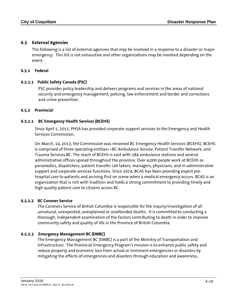#### **6.5 External Agencies**

The following is a list of external agencies that may be involved in a response to a disaster or major emergency. This list is not exhaustive and other organizations may be involved depending on the event.

#### **6.5.1 Federal**

#### **6.5.1.1 Public Safety Canada (PSC)**

PSC provides policy leadership and delivers programs and services in the areas of national security and emergency management, policing, law enforcement and border and corrections and crime prevention.

#### **6.5.2 Provincial**

#### **6.5.2.1 BC Emergency Health Services (BCEHS)**

Since April 1, 2011, PHSA has provided corporate support services to the Emergency and Health Services Commission.

On March, 14, 2013, the Commission was renamed BC Emergency Health Services (BCEHS). BCEHS is comprised of three operating entities—BC Ambulance Service, Patient Transfer Network, and Trauma Services BC. The reach of BCEHS is vast with 184 ambulance stations and several administrative offices spread throughout the province. Over 4,000 people work at BCEHS as paramedics, dispatchers, patient transfer call takers, managers, physicians, and in administrative support and corporate services functions. Since 1974, BCAS has been providing expert prehospital care to patients and arriving first on scene when a medical emergency occurs. BCAS is an organization that is rich with tradition and holds a strong commitment to providing timely and high quality patient care to citizens across BC.

#### **6.5.2.2 BC Coroner Service**

The Coroners Service of British Columbia is responsible for the inquiry/investigation of all unnatural, unexpected, unexplained or unattended deaths. It is committed to conducting a thorough, independent examination of the factors contributing to death in order to improve community safety and quality of life in the Province of British Columbia.

#### **6.5.2.3 Emergency Management BC (EMBC)**

The Emergency Management BC (EMBC) is a part of the Ministry of Transportation and Infrastructure. The Provincial Emergency Program's mission is to enhance public safety and reduce property and economic loss from actual or imminent emergencies or disasters by mitigating the effects of emergencies and disasters through education and awareness,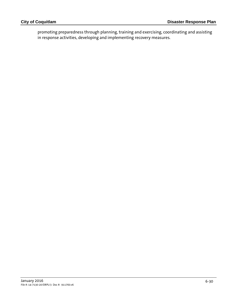promoting preparedness through planning, training and exercising, coordinating and assisting in response activities, developing and implementing recovery measures.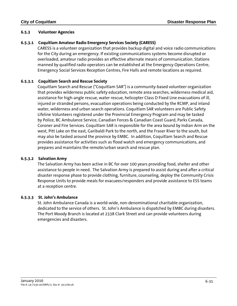#### **6.5.3 Volunteer Agencies**

#### **6.5.3.1 Coquitlam Amateur Radio Emergency Services Society (CARESS)**

CARESS is a volunteer organization that provides backup digital and voice radio communications for the City during an emergency. If existing communications systems become disrupted or overloaded, amateur radio provides an effective alternate means of communication. Stations manned by qualified radio operators can be established at the Emergency Operations Centre, Emergency Social Services Reception Centres, Fire Halls and remote locations as required.

#### **6.5.3.1 Coquitlam Search and Rescue Society**

Coquitlam Search and Rescue ("Coquitlam SAR") is a community-based volunteer organization that provides wilderness public safety education, remote area searches, wilderness medical aid, assistance for high-angle rescue, water rescue, helicopter Class D Fixed Line evacuations of ill, injured or stranded persons, evacuation operations being conducted by the RCMP, and inland water, wilderness and urban search operations. Coquitlam SAR volunteers are Public Safety Lifeline Volunteers registered under the Provincial Emergency Program and may be tasked by Police, BC Ambulance Service, Canadian Forces & Canadian Coast Guard, Parks Canada, Coroner and Fire Services. Coquitlam SAR is responsible for the area bound by Indian Arm on the west, Pitt Lake on the east, Garibaldi Park to the north, and the Fraser River to the south, but may also be tasked around the province by EMBC. In addition, Coquitlam Search and Rescue provides assistance for activities such as flood watch and emergency communications, and prepares and maintains the remote/urban search and rescue plan.

#### **6.5.3.2 Salvation Army**

The Salvation Army has been active in BC for over 100 years providing food, shelter and other assistance to people in need. The Salvation Army is prepared to assist during and after a critical disaster response phase to provide clothing, furniture, counseling, deploy the Community Crisis Response Units to provide meals for evacuees/responders and provide assistance to ESS teams at a reception centre.

#### **6.5.3.3 St. John's Ambulance**

St. John Ambulance Canada is a world-wide, non-denominational charitable organization, dedicated to the service of others. St. John's Ambulance is dispatched by EMBC during disasters. The Port Moody Branch is located at 2338 Clark Street and can provide volunteers during emergencies and disasters.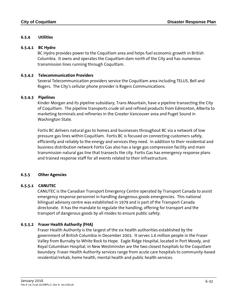#### **6.5.4 Utilities**

#### **6.5.4.1 BC Hydro**

BC Hydro provides power to the Coquitlam area and helps fuel economic growth in British Columbia. It owns and operates the Coquitlam dam north of the City and has numerous transmission lines running through Coquitlam.

#### **6.5.4.2 Telecommunication Providers**

Several Telecommunication providers service the Coquitlam area including TELUS, Bell and Rogers. The City's cellular phone provider is Rogers Communications.

#### **6.5.4.3 Pipelines**

Kinder Morgan and its pipeline subsidiary, Trans Mountain, have a pipeline transecting the City of Coquitlam. The pipeline transports crude oil and refined products from Edmonton, Alberta to marketing terminals and refineries in the Greater Vancouver area and Puget Sound in Washington State.

Fortis BC delivers natural gas to homes and businesses throughout BC via a network of low pressure gas lines within Coquitlam. Fortis BC is focused on connecting customers safely, efficiently and reliably to the energy and services they need. In addition to their residential and business distribution network Fortis Gas also has a large gas compression facility and main transmission natural gas line that transects the city. Fortis Gas has emergency response plans and trained response staff for all events related to their infrastructure.

#### **6.5.5 Other Agencies**

#### **6.5.5.1 CANUTEC**

CANUTEC is the Canadian Transport Emergency Centre operated by Transport Canada to assist emergency response personnel in handling dangerous goods emergencies. This national bilingual advisory centre was established in 1979 and is part of the Transport Canada directorate. It has the mandate to regulate the handling, offering for transport and the transport of dangerous goods by all modes to ensure public safety.

#### **6.5.5.2 Fraser Health Authority (FHA)**

Fraser Health Authority is the largest of the six health authorities established by the government of British Columbia in December 2001. It serves 1.6 million people in the Fraser Valley from Burnaby to White Rock to Hope. Eagle Ridge Hospital, located in Port Moody, and Royal Columbian Hospital, in New Westminster are the two closest hospitals to the Coquitlam boundary. Fraser Health Authority services range from acute care hospitals to community-based residential/rehab, home health, mental health and public health services.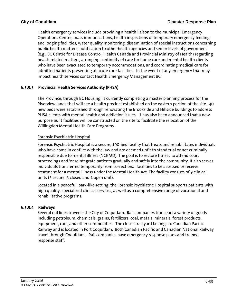Health emergency services include providing a health liaison to the municipal Emergency Operations Centre, mass immunizations, health inspections of temporary emergency feeding and lodging facilities, water quality monitoring, dissemination of special instructions concerning public health matters, notification to other health agencies and senior levels of government (e.g., BC Centre for Disease Control, Health Canada and Provincial Ministry of Health) regarding health related matters, arranging continuity of care for home care and mental health clients who have been evacuated to temporary accommodations, and coordinating medical care for admitted patients presenting at acute care facilities. In the event of any emergency that may impact health services contact Health Emergency Management BC.

#### **6.5.5.3 Provincial Health Services Authority (PHSA)**

The Province, through BC Housing, is currently completing a master planning process for the Riverview lands that will see a health precinct established on the eastern portion of the site. 40 new beds were established through renovating the Brookside and Hillside buildings to address PHSA clients with mental health and addiction issues. It has also been announced that a new purpose built facilities will be constructed on the site to facilitate the relocation of the Willingdon Mental Health Care Programs.

#### Forensic Psychiatric Hospital

Forensic Psychiatric Hospital is a secure, 190-bed facility that treats and rehabilitates individuals who have come in conflict with the law and are deemed unfit to stand trial or not criminally responsible due to mental illness (NCRMD). The goal is to restore fitness to attend court proceedings and/or reintegrate patients gradually and safely into the community. It also serves individuals transferred temporarily from correctional facilities to be assessed or receive treatment for a mental illness under the Mental Health Act. The facility consists of 9 clinical units (5 secure, 3 closed and 1 open unit).

Located in a peaceful, park-like setting, the Forensic Psychiatric Hospital supports patients with high quality, specialized clinical services, as well as a comprehensive range of vocational and rehabilitative programs.

#### **6.5.5.4 Railways**

Several rail lines traverse the City of Coquitlam. Rail companies transport a variety of goods including petroleum, chemicals, grains, fertilizers, coal, metals, minerals, forest products, equipment, cars, and other commodities. The closest rail yard belongs to Canadian Pacific Railway and is located in Port Coquitlam. Both Canadian Pacific and Canadian National Railway travel through Coquitlam. Rail companies have emergency response plans and trained response staff.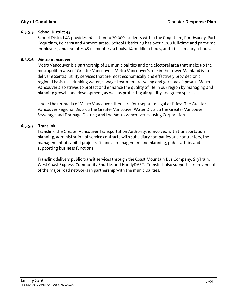#### **6.5.5.5 School District 43**

School District 43 provides education to 30,000 students within the Coquitlam, Port Moody, Port Coquitlam, Belcarra and Anmore areas. School District 43 has over 4,000 full-time and part-time employees, and operates 45 elementary schools, 14 middle schools, and 11 secondary schools.

#### **6.5.5.6 Metro Vancouver**

Metro Vancouver is a partnership of 21 municipalities and one electoral area that make up the metropolitan area of Greater Vancouver. Metro Vancouver's role in the Lower Mainland is to deliver essential utility services that are most economically and effectively provided on a regional basis (i.e., drinking water, sewage treatment, recycling and garbage disposal). Metro Vancouver also strives to protect and enhance the quality of life in our region by managing and planning growth and development, as well as protecting air quality and green spaces.

Under the umbrella of Metro Vancouver, there are four separate legal entities: The Greater Vancouver Regional District; the Greater Vancouver Water District; the Greater Vancouver Sewerage and Drainage District; and the Metro Vancouver Housing Corporation.

#### **6.5.5.7 Translink**

Translink, the Greater Vancouver Transportation Authority, is involved with transportation planning, administration of service contracts with subsidiary companies and contractors, the management of capital projects, financial management and planning, public affairs and supporting business functions.

Translink delivers public transit services through the Coast Mountain Bus Company, SkyTrain, West Coast Express, Community Shuttle, and HandyDART. Translink also supports improvement of the major road networks in partnership with the municipalities.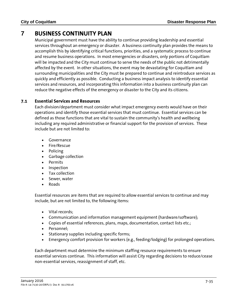# **7 BUSINESS CONTINUITY PLAN**

Municipal government must have the ability to continue providing leadership and essential services throughout an emergency or disaster. A business continuity plan provides the means to accomplish this by identifying critical functions, priorities, and a systematic process to continue and resume business operations. In most emergencies or disasters, only portions of Coquitlam will be impacted and the City must continue to serve the needs of the public not detrimentally affected by the event. In other situations, the event may be devastating for Coquitlam and surrounding municipalities and the City must be prepared to continue and reintroduce services as quickly and efficiently as possible. Conducting a business impact analysis to identify essential services and resources, and incorporating this information into a business continuity plan can reduce the negative effects of the emergency or disaster to the City and its citizens.

#### **7.1 Essential Services and Resources**

Each division/department must consider what impact emergency events would have on their operations and identify those essential services that must continue. Essential services can be defined as those functions that are vital to sustain the community's health and wellbeing including any required administrative or financial support for the provision of services. These include but are not limited to:

- Governance
- Fire/Rescue
- Policing
- Garbage collection
- Permits
- Inspection
- Tax collection
- Sewer, water
- Roads

Essential resources are items that are required to allow essential services to continue and may include, but are not limited to, the following items:

- Vital records;
- Communication and information management equipment (hardware/software);
- Copies of essential references, plans, maps, documentation, contact lists etc.;
- Personnel;
- Stationary supplies including specific forms;
- Emergency comfort provision for workers (e.g., feeding/lodging) for prolonged operations.

Each department must determine the minimum staffing resource requirements to ensure essential services continue. This information will assist City regarding decisions to reduce/cease non-essential services, reassignment of staff, etc.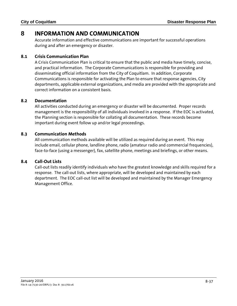# **8 INFORMATION AND COMMUNICATION**

Accurate information and effective communications are important for successful operations during and after an emergency or disaster.

# **8.1 Crisis Communication Plan**

A Crisis Communication Plan is critical to ensure that the public and media have timely, concise, and practical information. The Corporate Communications is responsible for providing and disseminating official information from the City of Coquitlam. In addition, Corporate Communications is responsible for activating the Plan to ensure that response agencies, City departments, applicable external organizations, and media are provided with the appropriate and correct information on a consistent basis.

### **8.2 Documentation**

All activities conducted during an emergency or disaster will be documented. Proper records management is the responsibility of all individuals involved in a response. If the EOC is activated, the Planning section is responsible for collating all documentation. These records become important during event follow up and/or legal proceedings.

## **8.3 Communication Methods**

All communication methods available will be utilized as required during an event. This may include email, cellular phone, landline phone, radio (amateur radio and commercial frequencies), face-to-face (using a messenger), fax, satellite phone, meetings and briefings, or other means.

### **8.4 Call-Out Lists**

Call-out lists readily identify individuals who have the greatest knowledge and skills required for a response. The call-out lists, where appropriate, will be developed and maintained by each department. The EOC call-out list will be developed and maintained by the Manager Emergency Management Office.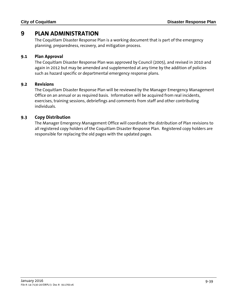# **9 PLAN ADMINISTRATION**

The Coquitlam Disaster Response Plan is a working document that is part of the emergency planning, preparedness, recovery, and mitigation process.

## **9.1 Plan Approval**

The Coquitlam Disaster Response Plan was approved by Council (2005), and revised in 2010 and again in 2012 but may be amended and supplemented at any time by the addition of policies such as hazard specific or departmental emergency response plans.

### **9.2 Revisions**

The Coquitlam Disaster Response Plan will be reviewed by the Manager Emergency Management Office on an annual or as required basis. Information will be acquired from real incidents, exercises, training sessions, debriefings and comments from staff and other contributing individuals.

### **9.3 Copy Distribution**

The Manager Emergency Management Office will coordinate the distribution of Plan revisions to all registered copy holders of the Coquitlam Disaster Response Plan. Registered copy holders are responsible for replacing the old pages with the updated pages.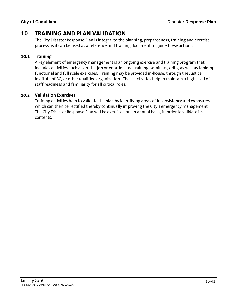# **10 TRAINING AND PLAN VALIDATION**

The City Disaster Response Plan is integral to the planning, preparedness, training and exercise process as it can be used as a reference and training document to guide these actions.

# **10.1 Training**

A key element of emergency management is an ongoing exercise and training program that includes activities such as on-the-job orientation and training, seminars, drills, as well as tabletop, functional and full scale exercises. Training may be provided in-house, through the Justice Institute of BC, or other qualified organization. These activities help to maintain a high level of staff readiness and familiarity for all critical roles.

## **10.2 Validation Exercises**

Training activities help to validate the plan by identifying areas of inconsistency and exposures which can then be rectified thereby continually improving the City's emergency management. The City Disaster Response Plan will be exercised on an annual basis, in order to validate its contents.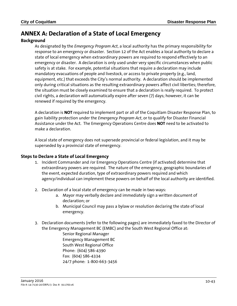# **ANNEX A: Declaration of a State of Local Emergency**

## **Background**

As designated by the *Emergency Program Act*, a local authority has the primary responsibility for response to an emergency or disaster. Section 12 of the Act enables a local authority to declare a state of local emergency when extraordinary powers are required to respond effectively to an emergency or disaster. A declaration is only used under very specific circumstances when public safety is at stake. For example, potential situations that require a declaration may include mandatory evacuations of people and livestock, or access to private property (e.g., land, equipment, etc.) that exceeds the City's normal authority. A declaration should be implemented only during critical situations as the resulting extraordinary powers affect civil liberties; therefore, the situation must be closely examined to ensure that a declaration is really required. To protect civil rights, a declaration will automatically expire after seven (7) days; however, it can be renewed if required by the emergency.

A declaration is **NOT** required to implement part or all of the Coquitlam Disaster Response Plan, to gain liability protection under the *Emergency Program Act*, or to qualify for Disaster Financial Assistance under the Act. The Emergency Operations Centre does **NOT** need to be activated to make a declaration.

A local state of emergency does not supersede provincial or federal legislation, and it may be superseded by a provincial state of emergency.

# **Steps to Declare a State of Local Emergency**

- 1. Incident Commander and /or Emergency Operations Centre (if activated) determine that extraordinary powers are required. The nature of the emergency, geographic boundaries of the event, expected duration, type of extraordinary powers required and which agency/individual can implement these powers on behalf of the local authority are identified.
- 2. Declaration of a local state of emergency can be made in two ways:
	- a. Mayor may verbally declare and immediately sign a written document of declaration; or
	- b. Municipal Council may pass a bylaw or resolution declaring the state of local emergency.
- 3. Declaration documents (refer to the following pages) are immediately faxed to the Director of the Emergency Management BC (EMBC) and the South West Regional Office at:

Senior Regional Manager Emergency Management BC South West Regional Office Phone: (604) 586-4390 Fax: (604) 586-4334 24/7 phone: 1-800-663-3456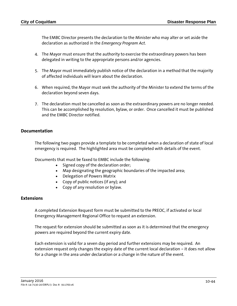The EMBC Director presents the declaration to the Minister who may alter or set aside the declaration as authorized in the *Emergency Program Act*.

- 4. The Mayor must ensure that the authority to exercise the extraordinary powers has been delegated in writing to the appropriate persons and/or agencies.
- 5. The Mayor must immediately publish notice of the declaration in a method that the majority of affected individuals will learn about the declaration.
- 6. When required, the Mayor must seek the authority of the Minister to extend the terms of the declaration beyond seven days.
- 7. The declaration must be cancelled as soon as the extraordinary powers are no longer needed. This can be accomplished by resolution, bylaw, or order. Once cancelled it must be published and the EMBC Director notified.

### **Documentation**

The following two pages provide a template to be completed when a declaration of state of local emergency is required. The highlighted area must be completed with details of the event.

Documents that must be faxed to EMBC include the following:

- Signed copy of the declaration order;
- Map designating the geographic boundaries of the impacted area;
- Delegation of Powers Matrix
- Copy of public notices (if any); and
- Copy of any resolution or bylaw.

### **Extensions**

A completed Extension Request form must be submitted to the PREOC, if activated or local Emergency Management Regional Office to request an extension.

The request for extension should be submitted as soon as it is determined that the emergency powers are required beyond the current expiry date.

Each extension is valid for a seven day period and further extensions may be required. An extension request only changes the expiry date of the current local declaration – it does not allow for a change in the area under declaration or a change in the nature of the event.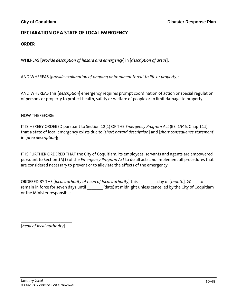# **DECLARATION OF A STATE OF LOCAL EMERGENCY**

### **ORDER**

WHEREAS [*provide description of hazard and emergency*] in [*description of areas*];

AND WHEREAS [*provide explanation of ongoing or imminent threat to life or property*];

AND WHEREAS this [*description*] emergency requires prompt coordination of action or special regulation of persons or property to protect health, safety or welfare of people or to limit damage to property;

#### NOW THEREFORE:

IT IS HEREBY ORDERED pursuant to Section 12(1) OF THE *Emergency Program Act* (RS, 1996, Chap 111) that a state of local emergency exists due to [*short hazard description*] and [*short consequence statement*] in [*area description*];

IT IS FURTHER ORDERED THAT the City of Coquitlam, its employees, servants and agents are empowered pursuant to Section 13(1) of the *Emergency Program Act* to do all acts and implement all procedures that are considered necessary to prevent or to alleviate the effects of the emergency.

ORDERED BY THE [*local authority of head of local authority*] this \_\_\_\_\_\_\_\_day of [*month*], 20\_\_\_ to remain in force for seven days until (date) at midnight unless cancelled by the City of Coquitlam or the Minister responsible.

[*head of local authority*]

 $\overline{\phantom{a}}$  , where  $\overline{\phantom{a}}$  , where  $\overline{\phantom{a}}$  , where  $\overline{\phantom{a}}$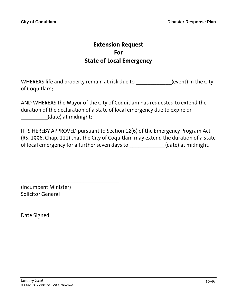# **Extension Request For State of Local Emergency**

WHEREAS life and property remain at risk due to  $($ event) in the City of Coquitlam;

AND WHEREAS the Mayor of the City of Coquitlam has requested to extend the duration of the declaration of a state of local emergency due to expire on \_\_\_\_\_\_\_\_\_(date) at midnight;

IT IS HEREBY APPROVED pursuant to Section 12(6) of the Emergency Program Act (RS, 1996, Chap. 111) that the City of Coquitlam may extend the duration of a state of local emergency for a further seven days to \_\_\_\_\_\_\_\_\_\_\_\_(date) at midnight.

(Incumbent Minister) Solicitor General

\_\_\_\_\_\_\_\_\_\_\_\_\_\_\_\_\_\_\_\_\_\_\_\_\_\_\_\_\_\_\_\_\_

\_\_\_\_\_\_\_\_\_\_\_\_\_\_\_\_\_\_\_\_\_\_\_\_\_\_\_\_\_\_\_\_\_

Date Signed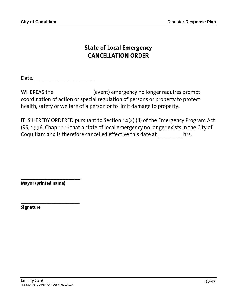# **State of Local Emergency CANCELLATION ORDER**

Date:  $\Box$ 

WHEREAS the  $(event)$  emergency no longer requires prompt coordination of action or special regulation of persons or property to protect health, safety or welfare of a person or to limit damage to property.

IT IS HEREBY ORDERED pursuant to Section 14(2) (ii) of the Emergency Program Act (RS, 1996, Chap 111) that a state of local emergency no longer exists in the City of Coquitlam and is therefore cancelled effective this date at hrs.

**Mayor (printed name)**

\_\_\_\_\_\_\_\_\_\_\_\_\_\_\_\_\_\_\_\_

 $\frac{1}{2}$  ,  $\frac{1}{2}$  ,  $\frac{1}{2}$  ,  $\frac{1}{2}$  ,  $\frac{1}{2}$  ,  $\frac{1}{2}$  ,  $\frac{1}{2}$  ,  $\frac{1}{2}$  ,  $\frac{1}{2}$  ,  $\frac{1}{2}$  ,  $\frac{1}{2}$  ,  $\frac{1}{2}$  ,  $\frac{1}{2}$  ,  $\frac{1}{2}$  ,  $\frac{1}{2}$  ,  $\frac{1}{2}$  ,  $\frac{1}{2}$  ,  $\frac{1}{2}$  ,  $\frac{1$ 

**Signature**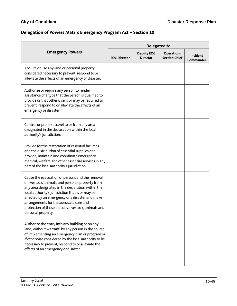# **Delegation of Powers Matrix Emergency Program Act – Section 10**

|                                                                                                                                                                                                                                                                                                                                                                                         | Delegated to        |                                      |                                           |                       |
|-----------------------------------------------------------------------------------------------------------------------------------------------------------------------------------------------------------------------------------------------------------------------------------------------------------------------------------------------------------------------------------------|---------------------|--------------------------------------|-------------------------------------------|-----------------------|
| <b>Emergency Powers</b>                                                                                                                                                                                                                                                                                                                                                                 | <b>EOC Director</b> | <b>Deputy EOC</b><br><b>Director</b> | <b>Operations</b><br><b>Section Chief</b> | Incident<br>Commander |
| Acquire or use any land or personal property<br>considered necessary to prevent, respond to or<br>alleviate the effects of an emergency or disaster.                                                                                                                                                                                                                                    |                     |                                      |                                           |                       |
| Authorize or require any person to render<br>assistance of a type that the person is qualified to<br>provide or that otherwise is or may be required to<br>prevent, respond to or alleviate the effects of an<br>emergency or disaster.                                                                                                                                                 |                     |                                      |                                           |                       |
| Control or prohibit travel to or from any area<br>designated in the declaration within the local<br>authority's jurisdiction.                                                                                                                                                                                                                                                           |                     |                                      |                                           |                       |
| Provide for the restoration of essential facilities<br>and the distribution of essential supplies and<br>provide, maintain and coordinate emergency<br>medical, welfare and other essential services in any<br>part of the local authority's jurisdiction.                                                                                                                              |                     |                                      |                                           |                       |
| Cause the evacuation of persons and the removal<br>of livestock, animals, and personal property from<br>any area designated in the declaration within the<br>local authority's jurisdiction that is or may be<br>affected by an emergency or a disaster and make<br>arrangements for the adequate care and<br>protection of those persons, livestock, animals and<br>personal property. |                     |                                      |                                           |                       |
| Authorize the entry into any building or on any<br>land, without warrant, by any person in the course<br>of implementing an emergency plan or program or<br>if otherwise considered by the local authority to be<br>necessary to prevent, respond to or alleviate the<br>effects of an emergency or disaster.                                                                           |                     |                                      |                                           |                       |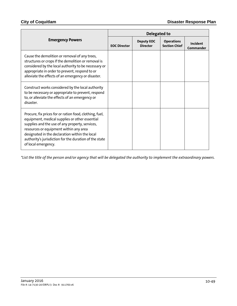|                                                                                                                                                                                                                                                                                                                                           | Delegated to        |                                      |                                           |                       |
|-------------------------------------------------------------------------------------------------------------------------------------------------------------------------------------------------------------------------------------------------------------------------------------------------------------------------------------------|---------------------|--------------------------------------|-------------------------------------------|-----------------------|
| <b>Emergency Powers</b>                                                                                                                                                                                                                                                                                                                   | <b>EOC Director</b> | <b>Deputy EOC</b><br><b>Director</b> | <b>Operations</b><br><b>Section Chief</b> | Incident<br>Commander |
| Cause the demolition or removal of any trees,<br>structures or crops if the demolition or removal is<br>considered by the local authority to be necessary or<br>appropriate in order to prevent, respond to or<br>alleviate the effects of an emergency or disaster.                                                                      |                     |                                      |                                           |                       |
| Construct works considered by the local authority<br>to be necessary or appropriate to prevent, respond<br>to, or alleviate the effects of an emergency or<br>disaster.                                                                                                                                                                   |                     |                                      |                                           |                       |
| Procure, fix prices for or ration food, clothing, fuel,<br>equipment, medical supplies or other essential<br>supplies and the use of any property, services,<br>resources or equipment within any area<br>designated in the declaration within the local<br>authority's jurisdiction for the duration of the state<br>of local emergency. |                     |                                      |                                           |                       |

*\*List the title of the person and/or agency that will be delegated the authority to implement the extraordinary powers.*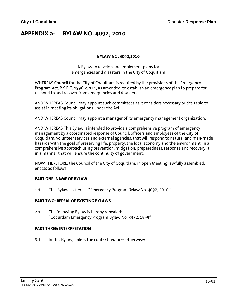# **APPENDIX a: BYLAW NO. 4092, 2010**

#### **BYLAW NO. 4092,2010**

A Bylaw to develop and implement plans for emergencies and disasters in the City of Coquitlam

WHEREAS Council for the City of Coquitlam is required by the provisions of the Emergency Program Act, R.S.B.C. 1996, c. 111, as amended, to establish an emergency plan to prepare for, respond to and recover from emergencies and disasters;

AND WHEREAS Council may appoint such committees as it considers necessary or desirable to assist in meeting its obligations under the Act;

AND WHEREAS Council may appoint a manager of its emergency management organization;

AND WHEREAS This Bylaw is intended to provide a comprehensive program of emergency management by a coordinated response of Council, officers and employees of the City of Coquitlam, volunteer services and external agencies, that will respond to natural and man-made hazards with the goal of preserving life, property, the local economy and the environment, in a comprehensive approach using prevention, mitigation, preparedness, response and recovery, all in a manner that will ensure the continuity of government;

NOW THEREFORE, the Council of the City of Coquitlam, in open Meeting lawfully assembled, enacts as follows:

#### **PART ONE: NAME OF BYLAW**

1.1 This Bylaw is cited as "Emergency Program Bylaw No. 4092, 2010."

#### **PART TWO: REPEAL OF EXISTING BYLAWS**

2.1 The following Bylaw is hereby repealed: "Coquitlam Emergency Program Bylaw No. 3332, 1999"

#### **PART THREE: INTERPRETATION**

3.1 In this Bylaw, unless the context requires otherwise: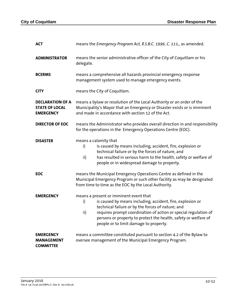| <b>ACT</b>                                                           | means the Emergency Program Act, R.S.B.C. 1996, C. 111,, as amended.                                                                                                                                                                                                                                                                                   |  |  |
|----------------------------------------------------------------------|--------------------------------------------------------------------------------------------------------------------------------------------------------------------------------------------------------------------------------------------------------------------------------------------------------------------------------------------------------|--|--|
| <b>ADMINISTRATOR</b>                                                 | means the senior administrative officer of the City of Coquitlam or his<br>delegate.                                                                                                                                                                                                                                                                   |  |  |
| <b>BCERMS</b>                                                        | means a comprehensive all hazards provincial emergency response<br>management system used to manage emergency events.                                                                                                                                                                                                                                  |  |  |
| <b>CITY</b>                                                          | means the City of Coquitlam.                                                                                                                                                                                                                                                                                                                           |  |  |
| <b>DECLARATION OF A</b><br><b>STATE OF LOCAL</b><br><b>EMERGENCY</b> | means a bylaw or resolution of the Local Authority or an order of the<br>Municipality's Mayor that an Emergency or Disaster exists or is imminent<br>and made in accordance with section 12 of the Act.                                                                                                                                                |  |  |
| <b>DIRECTOR OF EOC</b>                                               | means the Administrator who provides overall direction in and responsibility<br>for the operations in the Emergency Operations Centre (EOC).                                                                                                                                                                                                           |  |  |
| <b>DISASTER</b>                                                      | means a calamity that<br>is caused by means including, accident, fire, explosion or<br>i)<br>technical failure or by the forces of nature, and<br>has resulted in serious harm to the health, safety or welfare of<br>ii)<br>people or in widespread damage to property.                                                                               |  |  |
| <b>EOC</b>                                                           | means the Municipal Emergency Operations Centre as defined in the<br>Municipal Emergency Program or such other facility as may be designated<br>from time to time as the EOC by the Local Authority.                                                                                                                                                   |  |  |
| <b>EMERGENCY</b>                                                     | means a present or imminent event that<br>is caused by means including, accident, fire, explosion or<br>i)<br>technical failure or by the forces of nature; and<br>requires prompt coordination of action or special regulation of<br>ii)<br>persons or property to protect the health, safety or welfare of<br>people or to limit damage to property. |  |  |
| <b>EMERGENCY</b><br><b>MANAGEMENT</b><br><b>COMMITTEE</b>            | means a committee constituted pursuant to section 4.2 of the Bylaw to<br>oversee management of the Municipal Emergency Program.                                                                                                                                                                                                                        |  |  |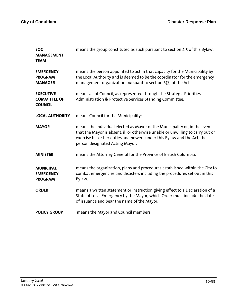| <b>EOC</b><br><b>MANAGEMENT</b><br><b>TEAM</b>            | means the group constituted as such pursuant to section 4.5 of this Bylaw.                                                                                                                                                                                                 |
|-----------------------------------------------------------|----------------------------------------------------------------------------------------------------------------------------------------------------------------------------------------------------------------------------------------------------------------------------|
| <b>EMERGENCY</b><br><b>PROGRAM</b><br><b>MANAGER</b>      | means the person appointed to act in that capacity for the Municipality by<br>the Local Authority and is deemed to be the coordinator for the emergency<br>management organization pursuant to section 6(3) of the Act.                                                    |
| <b>EXECUTIVE</b><br><b>COMMITTEE OF</b><br><b>COUNCIL</b> | means all of Council, as represented through the Strategic Priorities,<br>Administration & Protective Services Standing Committee.                                                                                                                                         |
| <b>LOCAL AUTHORITY</b>                                    | means Council for the Municipality;                                                                                                                                                                                                                                        |
| <b>MAYOR</b>                                              | means the individual elected as Mayor of the Municipality or, in the event<br>that the Mayor is absent, ill or otherwise unable or unwilling to carry out or<br>exercise his or her duties and powers under this Bylaw and the Act, the<br>person designated Acting Mayor. |
| <b>MINISTER</b>                                           | means the Attorney General for the Province of British Columbia.                                                                                                                                                                                                           |
| <b>MUNICIPAL</b><br><b>EMERGENCY</b><br><b>PROGRAM</b>    | means the organization, plans and procedures established within the City to<br>combat emergencies and disasters including the procedures set out in this<br>Bylaw.                                                                                                         |
| <b>ORDER</b>                                              | means a written statement or instruction giving effect to a Declaration of a<br>State of Local Emergency by the Mayor, which Order must include the date<br>of issuance and bear the name of the Mayor.                                                                    |
| <b>POLICY GROUP</b>                                       | means the Mayor and Council members.                                                                                                                                                                                                                                       |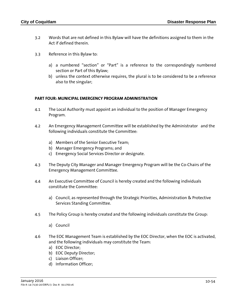- 3.2 Words that are not defined in this Bylaw will have the definitions assigned to them in the Act if defined therein.
- 3.3 Reference in this Bylaw to:
	- a) a numbered "section" or "Part" is a reference to the correspondingly numbered section or Part of this Bylaw;
	- b) unless the context otherwise requires, the plural is to be considered to be a reference also to the singular;

#### **PART FOUR: MUNICIPAL EMERGENCY PROGRAM ADMINISTRATION**

- 4.1 The Local Authority must appoint an individual to the position of Manager Emergency Program.
- 4.2 An Emergency Management Committee will be established by the Administrator and the following individuals constitute the Committee:
	- a) Members of the Senior Executive Team;
	- b) Manager Emergency Programs; and
	- c) Emergency Social Services Director or designate.
- 4.3 The Deputy City Manager and Manager Emergency Program will be the Co-Chairs of the Emergency Management Committee.
- 4.4 An Executive Committee of Council is hereby created and the following individuals constitute the Committee:
	- a) Council, as represented through the Strategic Priorities, Administration & Protective Services Standing Committee.
- 4.5 The Policy Group is hereby created and the following individuals constitute the Group:
	- a) Council
- 4.6 The EOC Management Team is established by the EOC Director, when the EOC is activated, and the following individuals may constitute the Team:
	- a) EOC Director;
	- b) EOC Deputy Director;
	- c) Liaison Officer;
	- d) Information Officer;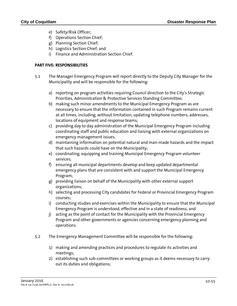- e) Safety/Risk Officer;
- f) Operations Section Chief;
- g) Planning Section Chief;
- h) Logistics Section Chief; and
- i) Finance and Administration Section Chief.

#### **PART FIVE: RESPONSIBILITIES**

- 5.1 The Manager Emergency Program will report directly to the Deputy City Manager for the Municipality and will be responsible for the following:
	- a) reporting on program activities requiring Council direction to the City's Strategic Priorities, Administration & Protective Services Standing Committee;
	- b) making such minor amendments to the Municipal Emergency Program as are necessary to ensure that the information contained in such Program remains current at all times, including, without limitation, updating telephone numbers, addresses, locations of equipment and response teams;
	- c) providing day to day administration of the Municipal Emergency Program including coordinating staff and public education and liaising with external organizations on emergency management issues;
	- d) maintaining information on potential natural and man-made hazards and the impact that such hazards could have on the Municipality;
	- e) coordinating, equipping and training Municipal Emergency Program volunteer services;
	- f) ensuring all municipal departments develop and keep updated departmental emergency plans that are consistent with and support the Municipal Emergency Program;
	- g) providing liaison on behalf of the Municipality with other external support organizations;
	- h) selecting and processing City candidates for Federal or Provincial Emergency Program courses;
	- i) conducting studies and exercises within the Municipality to ensure that the Municipal Emergency Program is understood, effective and in a state of readiness; and
	- j) acting as the point of contact for the Municipality with the Provincial Emergency Program and other governments or agencies concerning emergency planning and operations.
- 5.2 The Emergency Management Committee will be responsible for the following:
	- 1) making and amending practices and procedures to regulate its activities and meetings;
	- 2) establishing such sub-committees or working groups as it deems necessary to carry out its duties and obligations;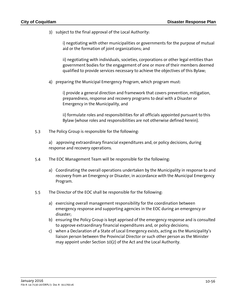3) subject to the final approval of the Local Authority:

i) negotiating with other municipalities or governments for the purpose of mutual aid or the formation of joint organizations; and

ii) negotiating with individuals, societies, corporations or other legal entities than government bodies for the engagement of one or more of their members deemed qualified to provide services necessary to achieve the objectives of this Bylaw;

4) preparing the Municipal Emergency Program, which program must:

i) provide a general direction and framework that covers prevention, mitigation, preparedness, response and recovery programs to deal with a Disaster or Emergency in the Municipality, and

ii) formulate roles and responsibilities for all officials appointed pursuant to this Bylaw (whose roles and responsibilities are not otherwise defined herein).

5.3 The Policy Group is responsible for the following:

a) approving extraordinary financial expenditures and, or policy decisions, during response and recovery operations.

- 5.4The EOC Management Team will be responsible for the following:
	- a) Coordinating the overall operations undertaken by the Municipality in response to and recovery from an Emergency or Disaster, in accordance with the Municipal Emergency Program.
- 5.5 The Director of the EOC shall be responsible for the following:
	- a) exercising overall management responsibility for the coordination between emergency response and supporting agencies in the EOC during an emergency or disaster;
	- b) ensuring the Policy Group is kept apprised of the emergency response and is consulted to approve extraordinary financial expenditures and, or policy decisions;
	- c) when a Declaration of a State of Local Emergency exists, acting as the Municipality's liaison person between the Provincial Director or such other person as the Minister may appoint under Section 10(2) of the Act and the Local Authority.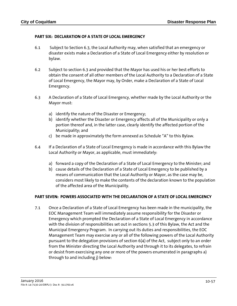#### **PART SIX: DECLARATION OF A STATE OF LOCAL EMERGENCY**

- 6.1 Subject to Section 6.3, the Local Authority may, when satisfied that an emergency or disaster exists make a Declaration of a State of Local Emergency either by resolution or bylaw.
- 6.2 Subject to section 6.3 and provided that the Mayor has used his or her best efforts to obtain the consent of all other members of the Local Authority to a Declaration of a State of Local Emergency, the Mayor may, by Order, make a Declaration of a State of Local Emergency.
- 6.3 A Declaration of a State of Local Emergency, whether made by the Local Authority or the Mayor must:
	- a) identify the nature of the Disaster or Emergency;
	- b) identify whether the Disaster or Emergency affects all of the Municipality or only a portion thereof and, in the latter case, clearly identify the affected portion of the Municipality; and
	- c) be made in approximately the form annexed as Schedule "A" to this Bylaw.
- 6.4 If a Declaration of a State of Local Emergency is made in accordance with this Bylaw the Local Authority or Mayor, as applicable, must immediately:
	- a) forward a copy of the Declaration of a State of Local Emergency to the Minister; and
	- b) cause details of the Declaration of a State of Local Emergency to be published by a means of communication that the Local Authority or Mayor, as the case may be, considers most likely to make the contents of the declaration known to the population of the affected area of the Municipality.

#### **PART SEVEN: POWERS ASSOCIATED WITH THE DECLARATION OF A STATE OF LOCAL EMERGENCY**

7.1 Once a Declaration of a State of Local Emergency has been made in the municipality, the EOC Management Team will immediately assume responsibility for the Disaster or Emergency which prompted the Declaration of a State of Local Emergency in accordance with the division of responsibilities set out in sections 5.3 of this Bylaw, the Act and the Municipal Emergency Program. In carrying out its duties and responsibilities, the EOC Management Team may exercise any or all of the following powers of the Local Authority pursuant to the delegation provisions of section 6(4) of the Act, subject only to an order from the Minister directing the Local Authority and through it to its delegates, to refrain or desist from exercising any one or more of the powers enumerated in paragraphs a) through to and including j) below: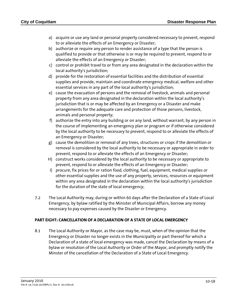- a) acquire or use any land or personal property considered necessary to prevent, respond to or alleviate the effects of an Emergency or Disaster;
- b) authorize or require any person to render assistance of a type that the person is qualified to provide or that otherwise is or may be required to prevent, respond to or alleviate the effects of an Emergency or Disaster;
- c) control or prohibit travel to or from any area designated in the declaration within the local authority's jurisdiction;
- d) provide for the restoration of essential facilities and the distribution of essential supplies and provide, maintain and coordinate emergency medical, welfare and other essential services in any part of the local authority's jurisdiction;
- e) cause the evacuation of persons and the removal of livestock, animals and personal property from any area designated in the declaration within the local authority's jurisdiction that is or may be affected by an Emergency or a Disaster and make arrangements for the adequate care and protection of those persons, livestock, animals and personal property;
- f) authorize the entry into any building or on any land, without warrant, by any person in the course of implementing an emergency plan or program or if otherwise considered by the local authority to be necessary to prevent, respond to or alleviate the effects of an Emergency or Disaster;
- g) cause the demolition or removal of any trees, structures or crops if the demolition or removal is considered by the local authority to be necessary or appropriate in order to prevent, respond to or alleviate the effects of an Emergency or Disaster;
- H) construct works considered by the local authority to be necessary or appropriate to prevent, respond to or alleviate the effects of an Emergency or Disaster;
- I) procure, fix prices for or ration food, clothing, fuel, equipment, medical supplies or other essential supplies and the use of any property, services, resources or equipment within any area designated in the declaration within the local authority's jurisdiction for the duration of the state of local emergency;
- 7.2 The Local Authority may, during or within 60 days after the Declaration of a State of Local Emergency, by bylaw ratified by the Minister of Municipal Affairs, borrow any money necessary to pay expenses caused by the Disaster or Emergency.

### **PART EIGHT: CANCELLATION OF A DECLARATION OF A STATE OF LOCAL EMERGENCY**

8.1 The Local Authority or Mayor, as the case may be, must, when of the opinion that the Emergency or Disaster no longer exists in the Municipality or part thereof for which a Declaration of a state of local emergency was made, cancel the Declaration by means of a bylaw or resolution of the Local Authority or Order of the Mayor, and promptly notify the Minster of the cancellation of the Declaration of a State of Local Emergency.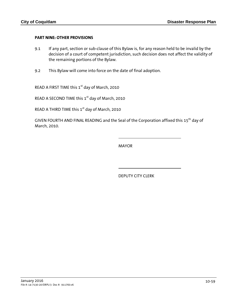#### **PART NINE: OTHER PROVISIONS**

- 9.1 If any part, section or sub-clause of this Bylaw is, for any reason held to be invalid by the decision of a court of competent jurisdiction, such decision does not affect the validity of the remaining portions of the Bylaw.
- 9.2 This Bylaw will come into force on the date of final adoption.

READ A FIRST TIME this  $1<sup>st</sup>$  day of March, 2010

READ A SECOND TIME this  $1<sup>st</sup>$  day of March, 2010

READ A THIRD TIME this 1<sup>st</sup> day of March, 2010

GIVEN FOURTH AND FINAL READING and the Seal of the Corporation affixed this 15<sup>th</sup> day of March, 2010.

MAYOR

DEPUTY CITY CLERK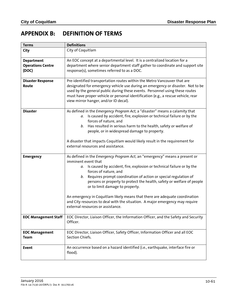# **APPENDIX B: DEFINITION OF TERMS**

| <b>Terms</b>                                           | <b>Definitions</b>                                                                                                                                                                                                                                                                                                                                                                                                                                                                                                                                                                            |
|--------------------------------------------------------|-----------------------------------------------------------------------------------------------------------------------------------------------------------------------------------------------------------------------------------------------------------------------------------------------------------------------------------------------------------------------------------------------------------------------------------------------------------------------------------------------------------------------------------------------------------------------------------------------|
| City                                                   | City of Coquitlam                                                                                                                                                                                                                                                                                                                                                                                                                                                                                                                                                                             |
| <b>Department</b><br><b>Operations Centre</b><br>(DOC) | An EOC concept at a departmental level. It is a centralized location for a<br>department where senior department staff gather to coordinate and support site<br>response(s), sometimes referred to as a DOC.                                                                                                                                                                                                                                                                                                                                                                                  |
| <b>Disaster Response</b><br>Route                      | Pre-identified transportation routes within the Metro Vancouver that are<br>designated for emergency vehicle use during an emergency or disaster. Not to be<br>used by the general public during these events. Personnel using these routes<br>must have proper vehicle or personal identification (e.g., a rescue vehicle, rear<br>view mirror hanger, and/or ID decal).                                                                                                                                                                                                                     |
| <b>Disaster</b>                                        | As defined in the Emergency Program Act, a "disaster" means a calamity that<br>Is caused by accident, fire, explosion or technical failure or by the<br>a.<br>forces of nature, and<br>b. Has resulted in serious harm to the health, safety or welfare of<br>people, or in widespread damage to property.<br>A disaster that impacts Coquitlam would likely result in the requirement for<br>external resources and assistance.                                                                                                                                                              |
| <b>Emergency</b>                                       | As defined in the Emergency Program Act, an "emergency" means a present or<br>imminent event that<br>a. Is caused by accident, fire, explosion or technical failure or by the<br>forces of nature, and<br>b. Requires prompt coordination of action or special regulation of<br>persons or property to protect the health, safety or welfare of people<br>or to limit damage to property.<br>An emergency in Coquitlam likely means that there are adequate coordination<br>and City resources to deal with the situation. A major emergency may require<br>external resources or assistance. |
| <b>EOC Management Staff</b>                            | EOC Director, Liaison Officer, the Information Officer, and the Safety and Security<br>Officer.                                                                                                                                                                                                                                                                                                                                                                                                                                                                                               |
| <b>EOC Management</b><br><b>Team</b>                   | EOC Director, Liaison Officer, Safety Officer, Information Officer and all EOC<br>Section Chiefs.                                                                                                                                                                                                                                                                                                                                                                                                                                                                                             |
| <b>Event</b>                                           | An occurrence based on a hazard identified (i.e., earthquake, interface fire or<br>flood).                                                                                                                                                                                                                                                                                                                                                                                                                                                                                                    |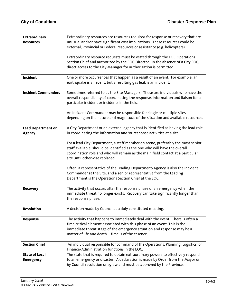| <b>Extraordinary</b><br><b>Resources</b>   | Extraordinary resources are resources required for response or recovery that are<br>unusual and/or have significant cost implications. These resources could be<br>external, Provincial or Federal resources or assistance (e.g. helicopters).                                               |
|--------------------------------------------|----------------------------------------------------------------------------------------------------------------------------------------------------------------------------------------------------------------------------------------------------------------------------------------------|
|                                            | Extraordinary resource requests must be vetted through the EOC Operations<br>Section Chief and authorized by the EOC Director. In the absence of a City EOC,<br>direct access to the City Manager for authorization is permitted.                                                            |
| Incident                                   | One or more occurrences that happen as a result of an event. For example, an<br>earthquake is an event, but a resulting gas leak is an incident.                                                                                                                                             |
| <b>Incident Commanders</b>                 | Sometimes referred to as the Site Managers. These are individuals who have the<br>overall responsibility of coordinating the response, information and liaison for a<br>particular incident or incidents in the field.                                                                       |
|                                            | An Incident Commander may be responsible for single or multiple sites<br>depending on the nature and magnitude of the situation and available resources.                                                                                                                                     |
| <b>Lead Department or</b><br><b>Agency</b> | A City Department or an external agency that is identified as having the lead role<br>in coordinating the information and/or response activities at a site.                                                                                                                                  |
|                                            | For a lead City Department, a staff member on scene, preferably the most senior<br>staff available, should be identified as the one who will have the overall<br>coordination role and who will remain as the main field contact at a particular<br>site until otherwise replaced.           |
|                                            | Often, a representative of the Leading Department/Agency is also the Incident<br>Commander at the Site, and a senior representative from the Leading<br>Department is the Operations Section Chief at the EOC.                                                                               |
| <b>Recovery</b>                            | The activity that occurs after the response phase of an emergency when the<br>immediate threat no longer exists. Recovery can take significantly longer than<br>the response phase.                                                                                                          |
| <b>Resolution</b>                          | A decision made by Council at a duly constituted meeting.                                                                                                                                                                                                                                    |
| Response                                   | The activity that happens to immediately deal with the event. There is often a<br>time critical element associated with this phase of an event. This is the<br>immediate threat stage of the emergency situation and response may be a<br>matter of life and death - time is of the essence. |
| <b>Section Chief</b>                       | An individual responsible for command of the Operations, Planning, Logistics, or<br>Finance/Administration functions in the EOC.                                                                                                                                                             |
| <b>State of Local</b><br><b>Emergency</b>  | The state that is required to obtain extraordinary powers to effectively respond<br>to an emergency or disaster. A declaration is made by Order from the Mayor or<br>by Council resolution or bylaw and must be approved by the Province.                                                    |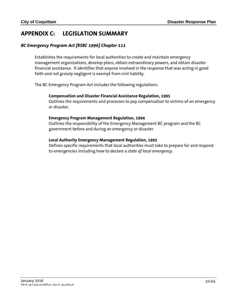# **APPENDIX C: LEGISLATION SUMMARY**

## *BC Emergency Program Act [RSBC 1996] Chapter 111*

Establishes the requirements for local authorities to create and maintain emergency management organizations, develop plans, obtain extraordinary powers, and obtain disaster financial assistance. It identifies that anyone involved in the response that was acting in good faith and not grossly negligent is exempt from civil liability.

The BC Emergency Program Act includes the following regulations:

#### **Compensation and Disaster Financial Assistance Regulation, 1995**

Outlines the requirements and processes to pay compensation to victims of an emergency or disaster.

#### **Emergency Program Management Regulation, 1994**

Outlines the responsibility of the Emergency Management BC program and the BC government before and during an emergency or disaster.

#### **Local Authority Emergency Management Regulation, 1995**

Defines specific requirements that local authorities must take to prepare for and respond to emergencies including how to declare a *state of local emergency.*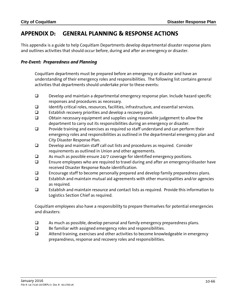# **APPENDIX D: GENERAL PLANNING & RESPONSE ACTIONS**

This appendix is a guide to help Coquitlam Departments develop departmental disaster response plans and outlines activities that should occur before, during and after an emergency or disaster.

## *Pre-Event: Preparedness and Planning*

Coquitlam departments must be prepared before an emergency or disaster and have an understanding of their emergency roles and responsibilities. The following list contains general activities that departments should undertake prior to these events:

- $\Box$  Develop and maintain a departmental emergency response plan. Include hazard specific responses and procedures as necessary.
- Identify critical roles, resources, facilities, infrastructure, and essential services.
- $\Box$  Establish recovery priorities and develop a recovery plan.
- $\Box$  Obtain necessary equipment and supplies using reasonable judgement to allow the department to carry out its responsibilities during an emergency or disaster.
- $\Box$  Provide training and exercises as required so staff understand and can perform their emergency roles and responsibilities as outlined in the departmental emergency plan and City Disaster Response Plan.
- $\Box$  Develop and maintain staff call out lists and procedures as required. Consider requirements as outlined in Union and other agreements.
- As much as possible ensure 24/7 coverage for identified emergency positions.
- □ Ensure employees who are required to travel during and after an emergency/disaster have received Disaster Response Route identification.
- Encourage staff to become personally prepared and develop family preparedness plans.
- $\square$  Establish and maintain mutual aid agreements with other municipalities and/or agencies as required.
- Establish and maintain resource and contact lists as required. Provide this information to Logistics Section Chief as required.

Coquitlam employees also have a responsibility to prepare themselves for potential emergencies and disasters:

- $\Box$  As much as possible, develop personal and family emergency preparedness plans.
- $\Box$  Be familiar with assigned emergency roles and responsibilities.
- $\Box$  Attend training, exercises and other activities to become knowledgeable in emergency preparedness, response and recovery roles and responsibilities.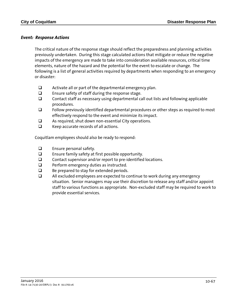## *Event: Response Actions*

The critical nature of the response stage should reflect the preparedness and planning activities previously undertaken. During this stage calculated actions that mitigate or reduce the negative impacts of the emergency are made to take into consideration available resources, critical time elements, nature of the hazard and the potential for the event to escalate or change. The following is a list of general activities required by departments when responding to an emergency or disaster:

- $\Box$  Activate all or part of the departmental emergency plan.
- $\square$  Ensure safety of staff during the response stage.
- $\Box$  Contact staff as necessary using departmental call out lists and following applicable procedures.
- $\Box$  Follow previously identified departmental procedures or other steps as required to most effectively respond to the event and minimize its impact.
- As required, shut down non-essential City operations.
- E Keep accurate records of all actions.

Coquitlam employees should also be ready to respond:

- $\Box$  Ensure personal safety.
- $\square$  Ensure family safety at first possible opportunity.
- $\Box$  Contact supervisor and/or report to pre-identified locations.
- $\Box$  Perform emergency duties as instructed.
- $\Box$  Be prepared to stay for extended periods.
- $\Box$  All excluded employees are expected to continue to work during any emergency situation. Senior managers may use their discretion to release any staff and/or appoint staff to various functions as appropriate. Non-excluded staff may be required to work to provide essential services.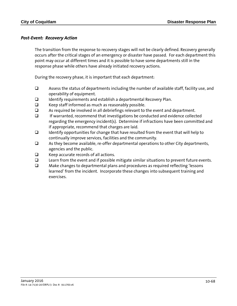### *Post-Event: Recovery Action*

The transition from the response to recovery stages will not be clearly defined. Recovery generally occurs after the critical stages of an emergency or disaster have passed. For each department this point may occur at different times and it is possible to have some departments still in the response phase while others have already initiated recovery actions.

During the recovery phase, it is important that each department:

- $\Box$  Assess the status of departments including the number of available staff, facility use, and operability of equipment.
- $\Box$  Identify requirements and establish a departmental Recovery Plan.
- $\Box$  Keep staff informed as much as reasonably possible.
- $\Box$  As required be involved in all debriefings relevant to the event and department.
- $\Box$  If warranted, recommend that investigations be conducted and evidence collected regarding the emergency incident(s). Determine if infractions have been committed and if appropriate, recommend that charges are laid.
- $\Box$  Identify opportunities for change that have resulted from the event that will help to continually improve services, facilities and the community.
- $\Box$  As they become available, re-offer departmental operations to other City departments, agencies and the public.
- $\Box$  Keep accurate records of all actions.
- $\Box$  Learn from the event and if possible mitigate similar situations to prevent future events.
- □ Make changes to departmental plans and procedures as required reflecting 'lessons learned' from the incident. Incorporate these changes into subsequent training and exercises.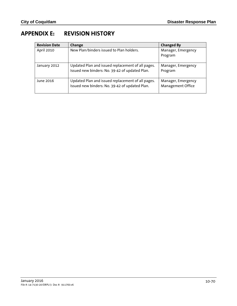# **APPENDIX E: REVISION HISTORY**

| <b>Revision Date</b> | Change                                                                                              | <b>Changed By</b>                       |
|----------------------|-----------------------------------------------------------------------------------------------------|-----------------------------------------|
| April 2010           | New Plan/binders issued to Plan holders.                                                            | Manager, Emergency<br>Program           |
| January 2012         | Updated Plan and issued replacement of all pages.<br>Issued new binders: No. 39-42 of updated Plan. | Manager, Emergency<br>Program           |
| June 2016            | Updated Plan and issued replacement of all pages.<br>Issued new binders: No. 39-42 of updated Plan. | Manager, Emergency<br>Management Office |